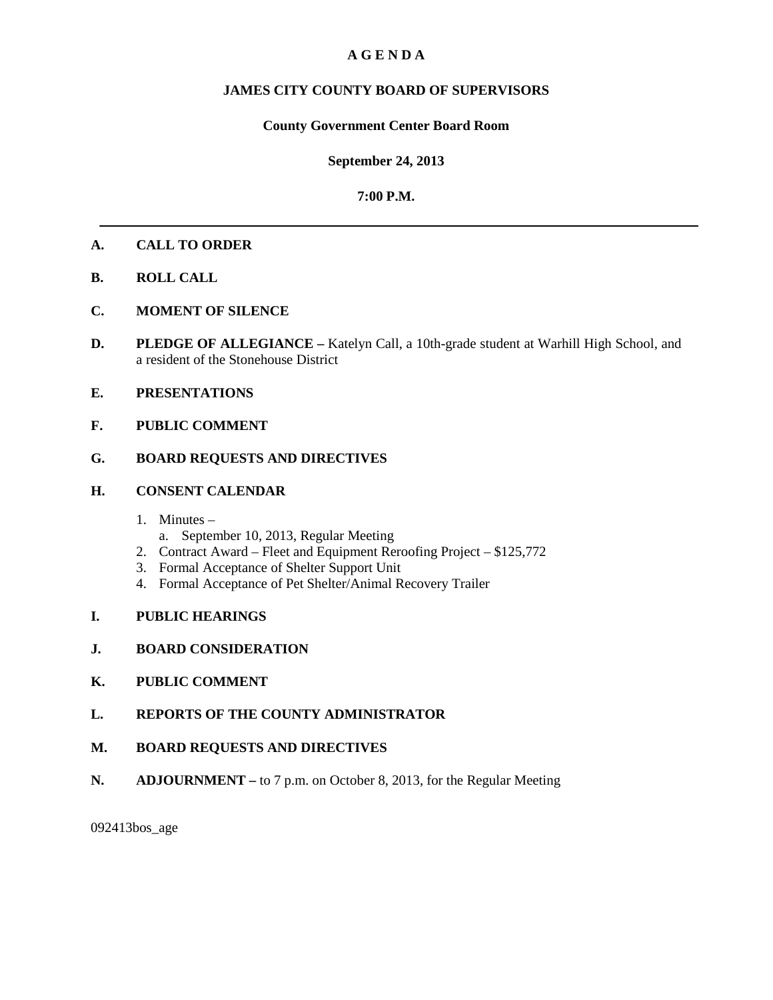# **A G E N D A**

# **JAMES CITY COUNTY BOARD OF SUPERVISORS**

## **County Government Center Board Room**

## **September 24, 2013**

## **7:00 P.M.**

## **A. CALL TO ORDER**

- **B. ROLL CALL**
- **C. MOMENT OF SILENCE**
- **D. PLEDGE OF ALLEGIANCE –** Katelyn Call, a 10th-grade student at Warhill High School, and a resident of the Stonehouse District
- **E. PRESENTATIONS**
- **F. PUBLIC COMMENT**

# **G. BOARD REQUESTS AND DIRECTIVES**

#### **H. CONSENT CALENDAR**

- 1. Minutes
	- a. September 10, 2013, Regular Meeting
- 2. Contract Award Fleet and Equipment Reroofing Project \$125,772
- 3. Formal Acceptance of Shelter Support Unit
- 4. Formal Acceptance of Pet Shelter/Animal Recovery Trailer
- **I. PUBLIC HEARINGS**
- **J. BOARD CONSIDERATION**
- **K. PUBLIC COMMENT**
- **L. REPORTS OF THE COUNTY ADMINISTRATOR**
- **M. BOARD REQUESTS AND DIRECTIVES**
- **N. ADJOURNMENT –** to 7 p.m. on October 8, 2013, for the Regular Meeting

092413bos\_age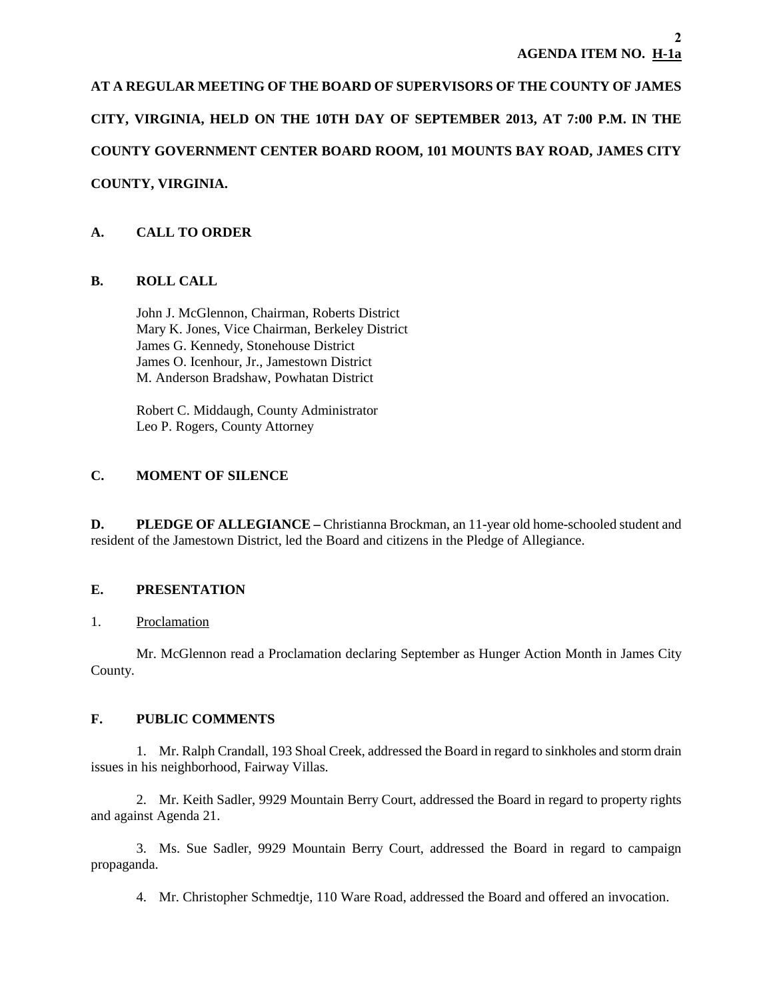**AT A REGULAR MEETING OF THE BOARD OF SUPERVISORS OF THE COUNTY OF JAMES CITY, VIRGINIA, HELD ON THE 10TH DAY OF SEPTEMBER 2013, AT 7:00 P.M. IN THE COUNTY GOVERNMENT CENTER BOARD ROOM, 101 MOUNTS BAY ROAD, JAMES CITY COUNTY, VIRGINIA.**

# **A. CALL TO ORDER**

# **B. ROLL CALL**

John J. McGlennon, Chairman, Roberts District Mary K. Jones, Vice Chairman, Berkeley District James G. Kennedy, Stonehouse District James O. Icenhour, Jr., Jamestown District M. Anderson Bradshaw, Powhatan District

 Robert C. Middaugh, County Administrator Leo P. Rogers, County Attorney

# **C. MOMENT OF SILENCE**

**D. PLEDGE OF ALLEGIANCE** – Christianna Brockman, an 11-year old home-schooled student and resident of the Jamestown District, led the Board and citizens in the Pledge of Allegiance.

# **E. PRESENTATION**

## 1. Proclamation

Mr. McGlennon read a Proclamation declaring September as Hunger Action Month in James City County.

# **F. PUBLIC COMMENTS**

1. Mr. Ralph Crandall, 193 Shoal Creek, addressed the Board in regard to sinkholes and storm drain issues in his neighborhood, Fairway Villas.

2. Mr. Keith Sadler, 9929 Mountain Berry Court, addressed the Board in regard to property rights and against Agenda 21.

3. Ms. Sue Sadler, 9929 Mountain Berry Court, addressed the Board in regard to campaign propaganda.

4. Mr. Christopher Schmedtje, 110 Ware Road, addressed the Board and offered an invocation.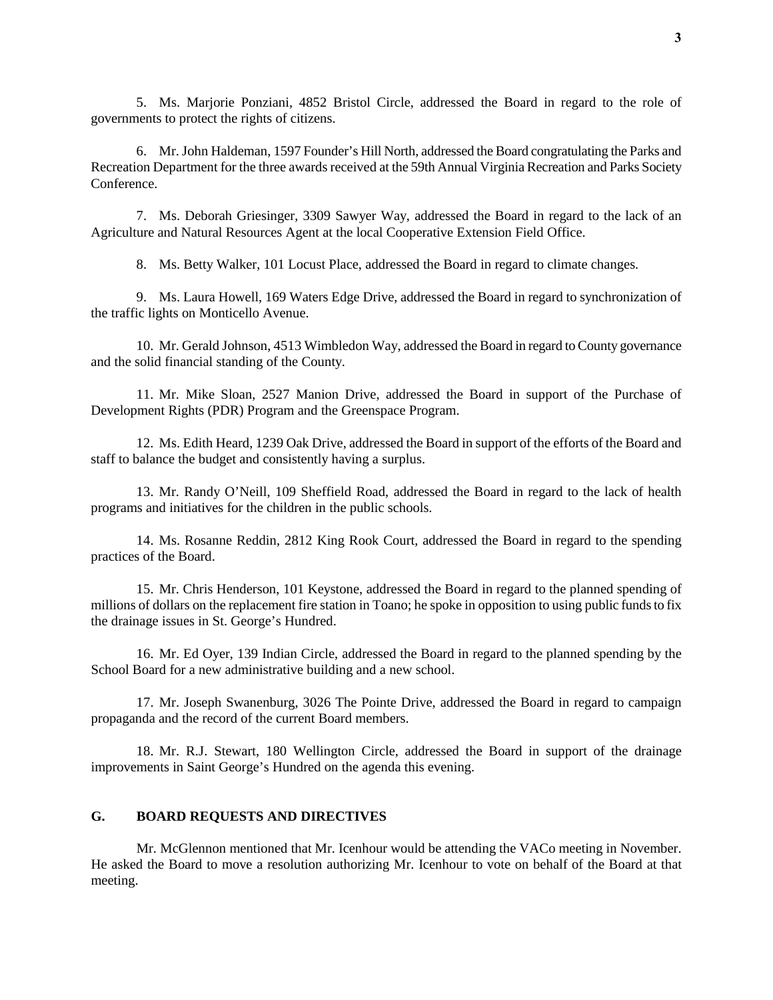5. Ms. Marjorie Ponziani, 4852 Bristol Circle, addressed the Board in regard to the role of governments to protect the rights of citizens.

6. Mr. John Haldeman, 1597 Founder's Hill North, addressed the Board congratulating the Parks and Recreation Department for the three awards received at the 59th Annual Virginia Recreation and Parks Society Conference.

7. Ms. Deborah Griesinger, 3309 Sawyer Way, addressed the Board in regard to the lack of an Agriculture and Natural Resources Agent at the local Cooperative Extension Field Office.

8. Ms. Betty Walker, 101 Locust Place, addressed the Board in regard to climate changes.

9. Ms. Laura Howell, 169 Waters Edge Drive, addressed the Board in regard to synchronization of the traffic lights on Monticello Avenue.

10. Mr. Gerald Johnson, 4513 Wimbledon Way, addressed the Board in regard to County governance and the solid financial standing of the County.

11. Mr. Mike Sloan, 2527 Manion Drive, addressed the Board in support of the Purchase of Development Rights (PDR) Program and the Greenspace Program.

12. Ms. Edith Heard, 1239 Oak Drive, addressed the Board in support of the efforts of the Board and staff to balance the budget and consistently having a surplus.

13. Mr. Randy O'Neill, 109 Sheffield Road, addressed the Board in regard to the lack of health programs and initiatives for the children in the public schools.

14. Ms. Rosanne Reddin, 2812 King Rook Court, addressed the Board in regard to the spending practices of the Board.

15. Mr. Chris Henderson, 101 Keystone, addressed the Board in regard to the planned spending of millions of dollars on the replacement fire station in Toano; he spoke in opposition to using public funds to fix the drainage issues in St. George's Hundred.

16. Mr. Ed Oyer, 139 Indian Circle, addressed the Board in regard to the planned spending by the School Board for a new administrative building and a new school.

17. Mr. Joseph Swanenburg, 3026 The Pointe Drive, addressed the Board in regard to campaign propaganda and the record of the current Board members.

18. Mr. R.J. Stewart, 180 Wellington Circle, addressed the Board in support of the drainage improvements in Saint George's Hundred on the agenda this evening.

## **G. BOARD REQUESTS AND DIRECTIVES**

Mr. McGlennon mentioned that Mr. Icenhour would be attending the VACo meeting in November. He asked the Board to move a resolution authorizing Mr. Icenhour to vote on behalf of the Board at that meeting.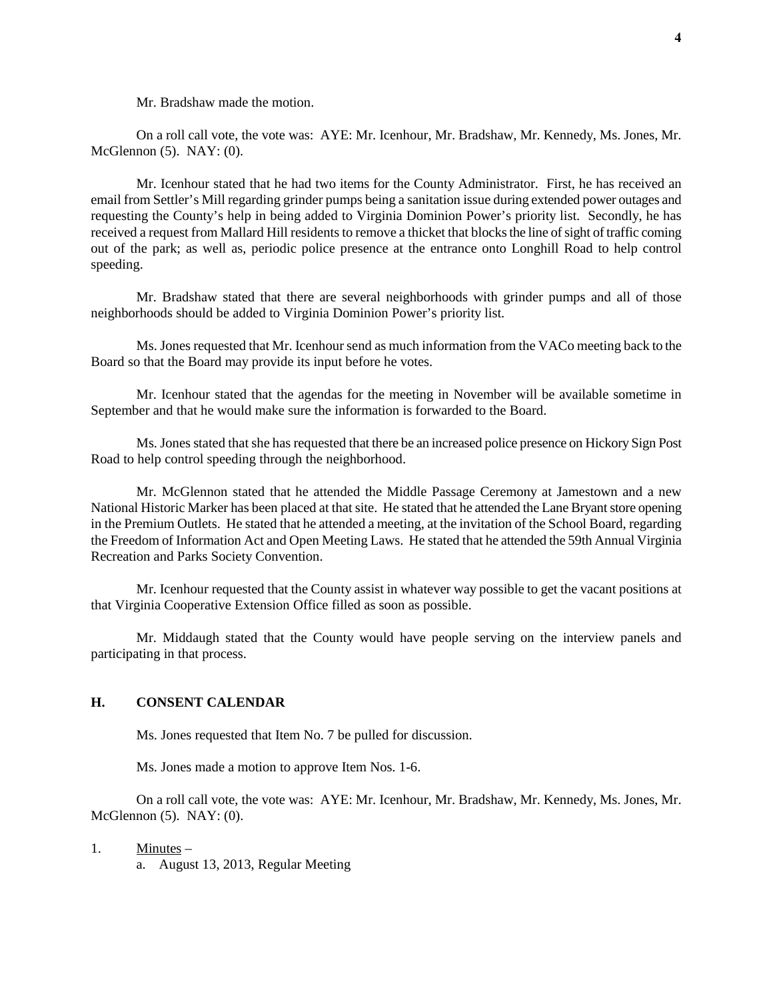Mr. Bradshaw made the motion.

On a roll call vote, the vote was: AYE: Mr. Icenhour, Mr. Bradshaw, Mr. Kennedy, Ms. Jones, Mr. McGlennon (5). NAY: (0).

Mr. Icenhour stated that he had two items for the County Administrator. First, he has received an email from Settler's Mill regarding grinder pumps being a sanitation issue during extended power outages and requesting the County's help in being added to Virginia Dominion Power's priority list. Secondly, he has received a request from Mallard Hill residents to remove a thicket that blocks the line of sight of traffic coming out of the park; as well as, periodic police presence at the entrance onto Longhill Road to help control speeding.

Mr. Bradshaw stated that there are several neighborhoods with grinder pumps and all of those neighborhoods should be added to Virginia Dominion Power's priority list.

Ms. Jones requested that Mr. Icenhour send as much information from the VACo meeting back to the Board so that the Board may provide its input before he votes.

Mr. Icenhour stated that the agendas for the meeting in November will be available sometime in September and that he would make sure the information is forwarded to the Board.

Ms. Jones stated that she has requested that there be an increased police presence on Hickory Sign Post Road to help control speeding through the neighborhood.

Mr. McGlennon stated that he attended the Middle Passage Ceremony at Jamestown and a new National Historic Marker has been placed at that site. He stated that he attended the Lane Bryant store opening in the Premium Outlets. He stated that he attended a meeting, at the invitation of the School Board, regarding the Freedom of Information Act and Open Meeting Laws. He stated that he attended the 59th Annual Virginia Recreation and Parks Society Convention.

Mr. Icenhour requested that the County assist in whatever way possible to get the vacant positions at that Virginia Cooperative Extension Office filled as soon as possible.

Mr. Middaugh stated that the County would have people serving on the interview panels and participating in that process.

## **H. CONSENT CALENDAR**

Ms. Jones requested that Item No. 7 be pulled for discussion.

Ms. Jones made a motion to approve Item Nos. 1-6.

On a roll call vote, the vote was: AYE: Mr. Icenhour, Mr. Bradshaw, Mr. Kennedy, Ms. Jones, Mr. McGlennon (5). NAY: (0).

1. Minutes –

a. August 13, 2013, Regular Meeting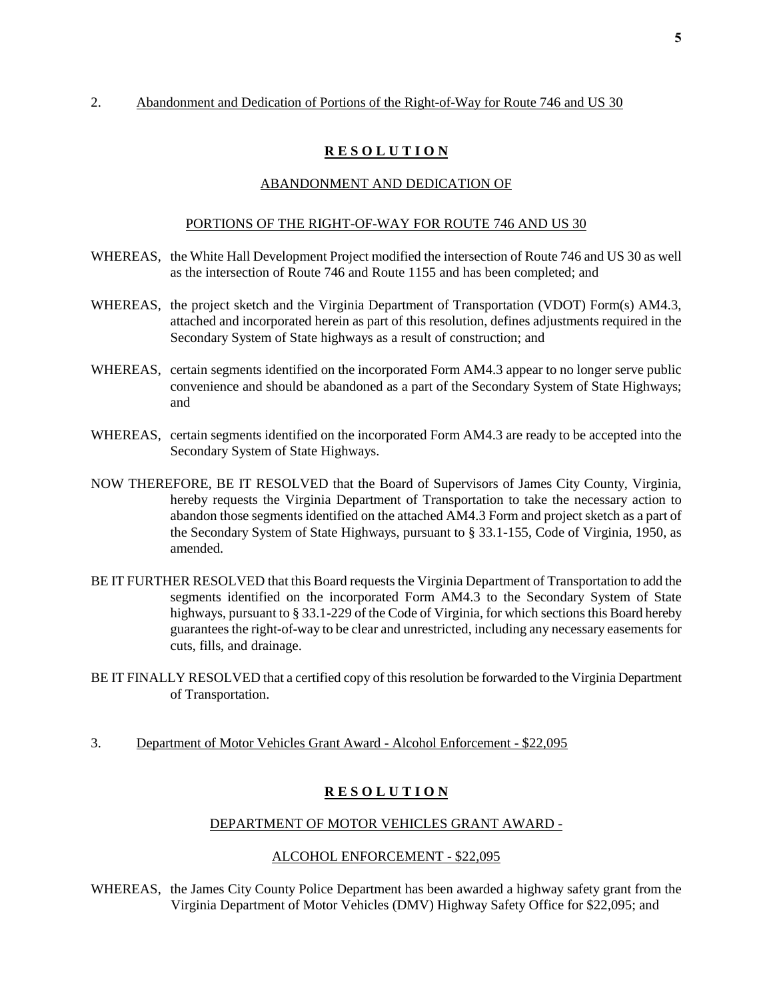## 2. Abandonment and Dedication of Portions of the Right-of-Way for Route 746 and US 30

# **R E S O L U T I O N**

## ABANDONMENT AND DEDICATION OF

#### PORTIONS OF THE RIGHT-OF-WAY FOR ROUTE 746 AND US 30

- WHEREAS, the White Hall Development Project modified the intersection of Route 746 and US 30 as well as the intersection of Route 746 and Route 1155 and has been completed; and
- WHEREAS, the project sketch and the Virginia Department of Transportation (VDOT) Form(s) AM4.3, attached and incorporated herein as part of this resolution, defines adjustments required in the Secondary System of State highways as a result of construction; and
- WHEREAS, certain segments identified on the incorporated Form AM4.3 appear to no longer serve public convenience and should be abandoned as a part of the Secondary System of State Highways; and
- WHEREAS, certain segments identified on the incorporated Form AM4.3 are ready to be accepted into the Secondary System of State Highways.
- NOW THEREFORE, BE IT RESOLVED that the Board of Supervisors of James City County, Virginia, hereby requests the Virginia Department of Transportation to take the necessary action to abandon those segments identified on the attached AM4.3 Form and project sketch as a part of the Secondary System of State Highways, pursuant to § 33.1-155, Code of Virginia, 1950, as amended.
- BE IT FURTHER RESOLVED that this Board requests the Virginia Department of Transportation to add the segments identified on the incorporated Form AM4.3 to the Secondary System of State highways, pursuant to § 33.1-229 of the Code of Virginia, for which sections this Board hereby guarantees the right-of-way to be clear and unrestricted, including any necessary easements for cuts, fills, and drainage.
- BE IT FINALLY RESOLVED that a certified copy of this resolution be forwarded to the Virginia Department of Transportation.
- 3. Department of Motor Vehicles Grant Award Alcohol Enforcement \$22,095

# **R E S O L U T I O N**

#### DEPARTMENT OF MOTOR VEHICLES GRANT AWARD -

#### ALCOHOL ENFORCEMENT - \$22,095

WHEREAS, the James City County Police Department has been awarded a highway safety grant from the Virginia Department of Motor Vehicles (DMV) Highway Safety Office for \$22,095; and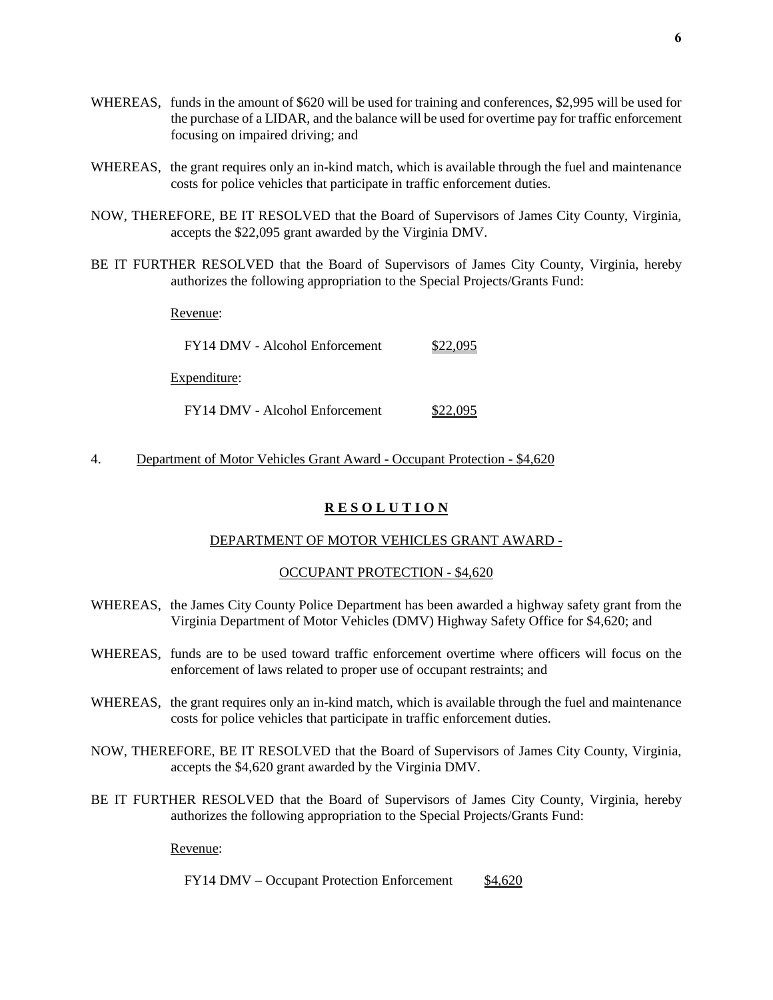- WHEREAS, funds in the amount of \$620 will be used for training and conferences, \$2,995 will be used for the purchase of a LIDAR, and the balance will be used for overtime pay for traffic enforcement focusing on impaired driving; and
- WHEREAS, the grant requires only an in-kind match, which is available through the fuel and maintenance costs for police vehicles that participate in traffic enforcement duties.
- NOW, THEREFORE, BE IT RESOLVED that the Board of Supervisors of James City County, Virginia, accepts the \$22,095 grant awarded by the Virginia DMV.
- BE IT FURTHER RESOLVED that the Board of Supervisors of James City County, Virginia, hereby authorizes the following appropriation to the Special Projects/Grants Fund:

Revenue:

| FY14 DMV - Alcohol Enforcement | \$22,095 |
|--------------------------------|----------|
| Expenditure:                   |          |

FY14 DMV - Alcohol Enforcement \$22,095

4. Department of Motor Vehicles Grant Award - Occupant Protection - \$4,620

## **R E S O L U T I O N**

#### DEPARTMENT OF MOTOR VEHICLES GRANT AWARD -

#### OCCUPANT PROTECTION - \$4,620

- WHEREAS, the James City County Police Department has been awarded a highway safety grant from the Virginia Department of Motor Vehicles (DMV) Highway Safety Office for \$4,620; and
- WHEREAS, funds are to be used toward traffic enforcement overtime where officers will focus on the enforcement of laws related to proper use of occupant restraints; and
- WHEREAS, the grant requires only an in-kind match, which is available through the fuel and maintenance costs for police vehicles that participate in traffic enforcement duties.
- NOW, THEREFORE, BE IT RESOLVED that the Board of Supervisors of James City County, Virginia, accepts the \$4,620 grant awarded by the Virginia DMV.
- BE IT FURTHER RESOLVED that the Board of Supervisors of James City County, Virginia, hereby authorizes the following appropriation to the Special Projects/Grants Fund:

Revenue:

FY14 DMV – Occupant Protection Enforcement \$4,620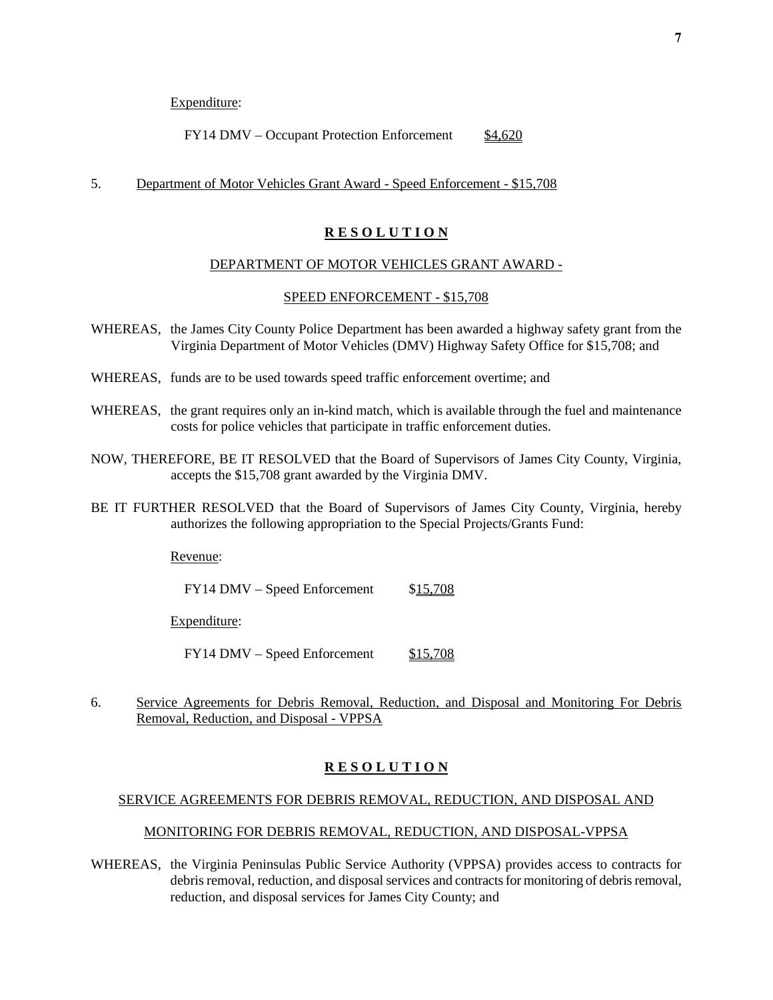Expenditure:

FY14 DMV – Occupant Protection Enforcement \$4,620

#### 5. Department of Motor Vehicles Grant Award - Speed Enforcement - \$15,708

## **R E S O L U T I O N**

## DEPARTMENT OF MOTOR VEHICLES GRANT AWARD -

#### SPEED ENFORCEMENT - \$15,708

- WHEREAS, the James City County Police Department has been awarded a highway safety grant from the Virginia Department of Motor Vehicles (DMV) Highway Safety Office for \$15,708; and
- WHEREAS, funds are to be used towards speed traffic enforcement overtime; and
- WHEREAS, the grant requires only an in-kind match, which is available through the fuel and maintenance costs for police vehicles that participate in traffic enforcement duties.
- NOW, THEREFORE, BE IT RESOLVED that the Board of Supervisors of James City County, Virginia, accepts the \$15,708 grant awarded by the Virginia DMV.
- BE IT FURTHER RESOLVED that the Board of Supervisors of James City County, Virginia, hereby authorizes the following appropriation to the Special Projects/Grants Fund:

Revenue:

FY14 DMV – Speed Enforcement \$15,708

Expenditure:

 $FY14$  DMV – Speed Enforcement  $$15,708$ 

6. Service Agreements for Debris Removal, Reduction, and Disposal and Monitoring For Debris Removal, Reduction, and Disposal - VPPSA

# **R E S O L U T I O N**

## SERVICE AGREEMENTS FOR DEBRIS REMOVAL, REDUCTION, AND DISPOSAL AND

#### MONITORING FOR DEBRIS REMOVAL, REDUCTION, AND DISPOSAL-VPPSA

WHEREAS, the Virginia Peninsulas Public Service Authority (VPPSA) provides access to contracts for debris removal, reduction, and disposal services and contracts for monitoring of debris removal, reduction, and disposal services for James City County; and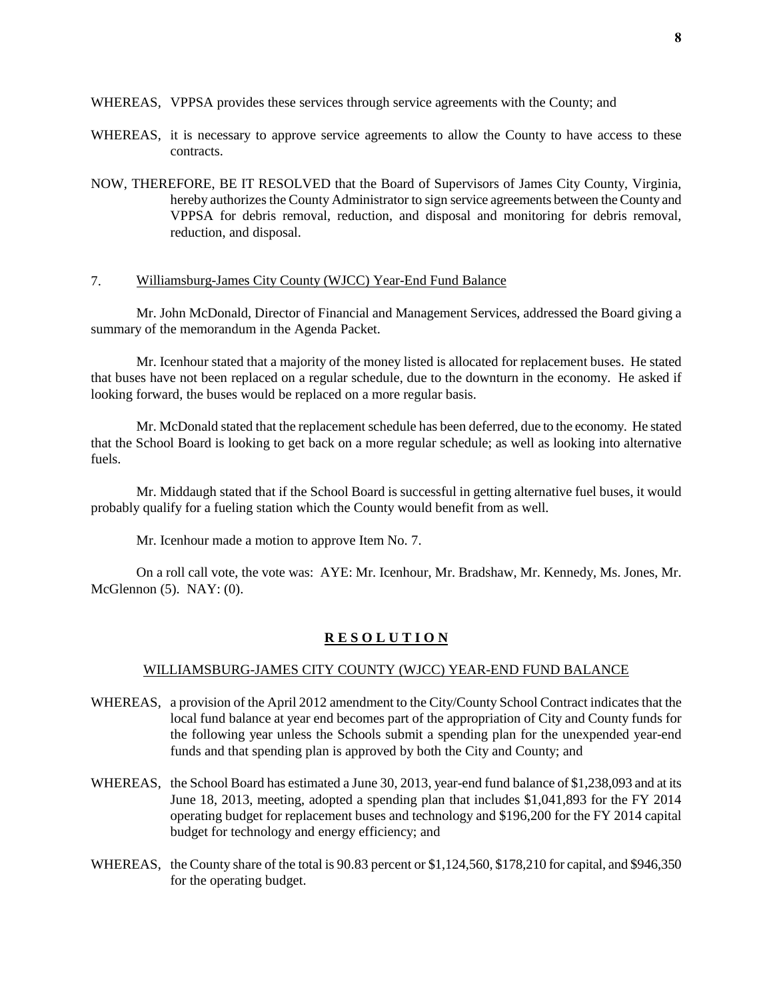WHEREAS, VPPSA provides these services through service agreements with the County; and

- WHEREAS, it is necessary to approve service agreements to allow the County to have access to these contracts.
- NOW, THEREFORE, BE IT RESOLVED that the Board of Supervisors of James City County, Virginia, hereby authorizes the County Administrator to sign service agreements between the County and VPPSA for debris removal, reduction, and disposal and monitoring for debris removal, reduction, and disposal.

## 7. Williamsburg-James City County (WJCC) Year-End Fund Balance

Mr. John McDonald, Director of Financial and Management Services, addressed the Board giving a summary of the memorandum in the Agenda Packet.

Mr. Icenhour stated that a majority of the money listed is allocated for replacement buses. He stated that buses have not been replaced on a regular schedule, due to the downturn in the economy. He asked if looking forward, the buses would be replaced on a more regular basis.

Mr. McDonald stated that the replacement schedule has been deferred, due to the economy. He stated that the School Board is looking to get back on a more regular schedule; as well as looking into alternative fuels.

Mr. Middaugh stated that if the School Board is successful in getting alternative fuel buses, it would probably qualify for a fueling station which the County would benefit from as well.

Mr. Icenhour made a motion to approve Item No. 7.

On a roll call vote, the vote was: AYE: Mr. Icenhour, Mr. Bradshaw, Mr. Kennedy, Ms. Jones, Mr. McGlennon  $(5)$ . NAY:  $(0)$ .

#### **R E S O L U T I O N**

#### WILLIAMSBURG-JAMES CITY COUNTY (WJCC) YEAR-END FUND BALANCE

- WHEREAS, a provision of the April 2012 amendment to the City/County School Contract indicates that the local fund balance at year end becomes part of the appropriation of City and County funds for the following year unless the Schools submit a spending plan for the unexpended year-end funds and that spending plan is approved by both the City and County; and
- WHEREAS, the School Board has estimated a June 30, 2013, year-end fund balance of \$1,238,093 and at its June 18, 2013, meeting, adopted a spending plan that includes \$1,041,893 for the FY 2014 operating budget for replacement buses and technology and \$196,200 for the FY 2014 capital budget for technology and energy efficiency; and
- WHEREAS, the County share of the total is 90.83 percent or \$1,124,560, \$178,210 for capital, and \$946,350 for the operating budget.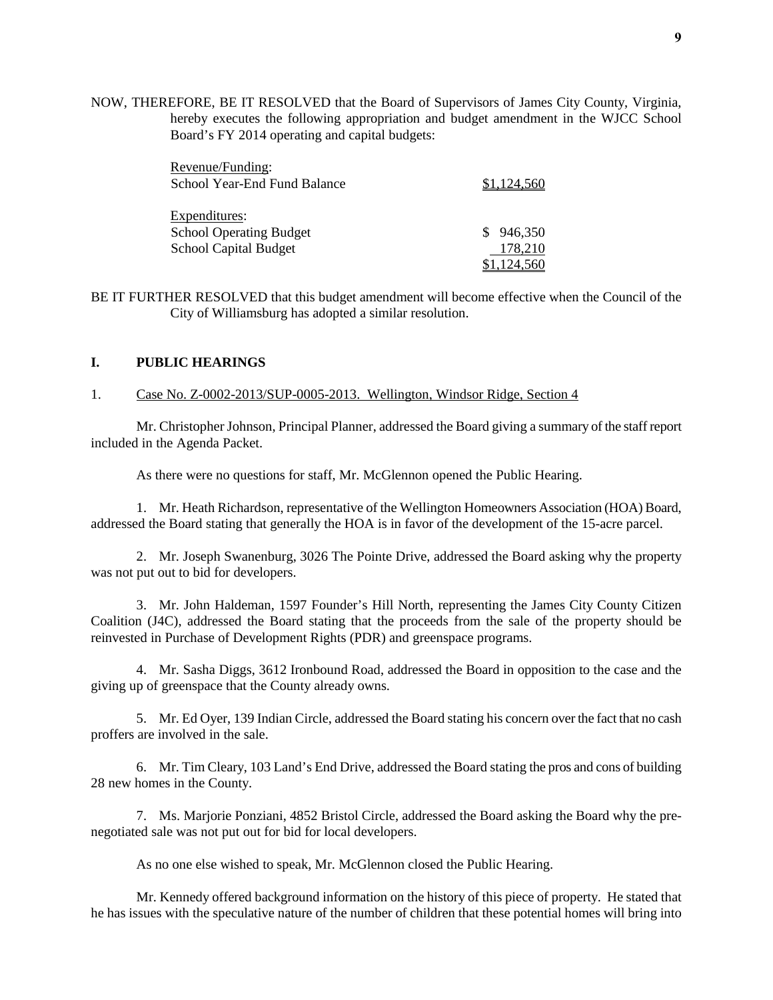NOW, THEREFORE, BE IT RESOLVED that the Board of Supervisors of James City County, Virginia, hereby executes the following appropriation and budget amendment in the WJCC School Board's FY 2014 operating and capital budgets:

| Revenue/Funding:<br>School Year-End Fund Balance | \$1,124,560 |
|--------------------------------------------------|-------------|
| Expenditures:                                    |             |
| <b>School Operating Budget</b>                   | 946,350     |
| <b>School Capital Budget</b>                     | 178,210     |
|                                                  | \$1,124,560 |

BE IT FURTHER RESOLVED that this budget amendment will become effective when the Council of the City of Williamsburg has adopted a similar resolution.

## **I. PUBLIC HEARINGS**

#### 1. Case No. Z-0002-2013/SUP-0005-2013. Wellington, Windsor Ridge, Section 4

Mr. Christopher Johnson, Principal Planner, addressed the Board giving a summary of the staff report included in the Agenda Packet.

As there were no questions for staff, Mr. McGlennon opened the Public Hearing.

1. Mr. Heath Richardson, representative of the Wellington Homeowners Association (HOA) Board, addressed the Board stating that generally the HOA is in favor of the development of the 15-acre parcel.

2. Mr. Joseph Swanenburg, 3026 The Pointe Drive, addressed the Board asking why the property was not put out to bid for developers.

3. Mr. John Haldeman, 1597 Founder's Hill North, representing the James City County Citizen Coalition (J4C), addressed the Board stating that the proceeds from the sale of the property should be reinvested in Purchase of Development Rights (PDR) and greenspace programs.

4. Mr. Sasha Diggs, 3612 Ironbound Road, addressed the Board in opposition to the case and the giving up of greenspace that the County already owns.

5. Mr. Ed Oyer, 139 Indian Circle, addressed the Board stating his concern over the fact that no cash proffers are involved in the sale.

6. Mr. Tim Cleary, 103 Land's End Drive, addressed the Board stating the pros and cons of building 28 new homes in the County.

7. Ms. Marjorie Ponziani, 4852 Bristol Circle, addressed the Board asking the Board why the prenegotiated sale was not put out for bid for local developers.

As no one else wished to speak, Mr. McGlennon closed the Public Hearing.

Mr. Kennedy offered background information on the history of this piece of property. He stated that he has issues with the speculative nature of the number of children that these potential homes will bring into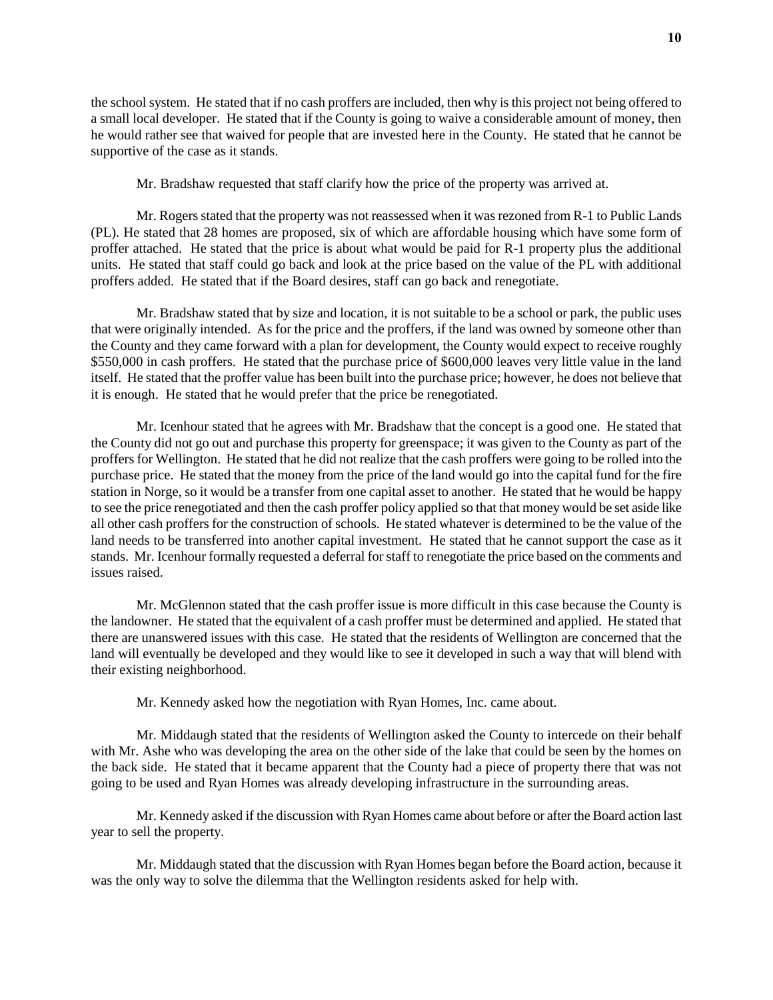the school system. He stated that if no cash proffers are included, then why is this project not being offered to a small local developer. He stated that if the County is going to waive a considerable amount of money, then he would rather see that waived for people that are invested here in the County. He stated that he cannot be supportive of the case as it stands.

Mr. Bradshaw requested that staff clarify how the price of the property was arrived at.

Mr. Rogers stated that the property was not reassessed when it was rezoned from R-1 to Public Lands (PL). He stated that 28 homes are proposed, six of which are affordable housing which have some form of proffer attached. He stated that the price is about what would be paid for R-1 property plus the additional units. He stated that staff could go back and look at the price based on the value of the PL with additional proffers added. He stated that if the Board desires, staff can go back and renegotiate.

Mr. Bradshaw stated that by size and location, it is not suitable to be a school or park, the public uses that were originally intended. As for the price and the proffers, if the land was owned by someone other than the County and they came forward with a plan for development, the County would expect to receive roughly \$550,000 in cash proffers. He stated that the purchase price of \$600,000 leaves very little value in the land itself. He stated that the proffer value has been built into the purchase price; however, he does not believe that it is enough. He stated that he would prefer that the price be renegotiated.

Mr. Icenhour stated that he agrees with Mr. Bradshaw that the concept is a good one. He stated that the County did not go out and purchase this property for greenspace; it was given to the County as part of the proffers for Wellington. He stated that he did not realize that the cash proffers were going to be rolled into the purchase price. He stated that the money from the price of the land would go into the capital fund for the fire station in Norge, so it would be a transfer from one capital asset to another. He stated that he would be happy to see the price renegotiated and then the cash proffer policy applied so that that money would be set aside like all other cash proffers for the construction of schools. He stated whatever is determined to be the value of the land needs to be transferred into another capital investment. He stated that he cannot support the case as it stands. Mr. Icenhour formally requested a deferral for staff to renegotiate the price based on the comments and issues raised.

Mr. McGlennon stated that the cash proffer issue is more difficult in this case because the County is the landowner. He stated that the equivalent of a cash proffer must be determined and applied. He stated that there are unanswered issues with this case. He stated that the residents of Wellington are concerned that the land will eventually be developed and they would like to see it developed in such a way that will blend with their existing neighborhood.

Mr. Kennedy asked how the negotiation with Ryan Homes, Inc. came about.

Mr. Middaugh stated that the residents of Wellington asked the County to intercede on their behalf with Mr. Ashe who was developing the area on the other side of the lake that could be seen by the homes on the back side. He stated that it became apparent that the County had a piece of property there that was not going to be used and Ryan Homes was already developing infrastructure in the surrounding areas.

Mr. Kennedy asked if the discussion with Ryan Homes came about before or after the Board action last year to sell the property.

Mr. Middaugh stated that the discussion with Ryan Homes began before the Board action, because it was the only way to solve the dilemma that the Wellington residents asked for help with.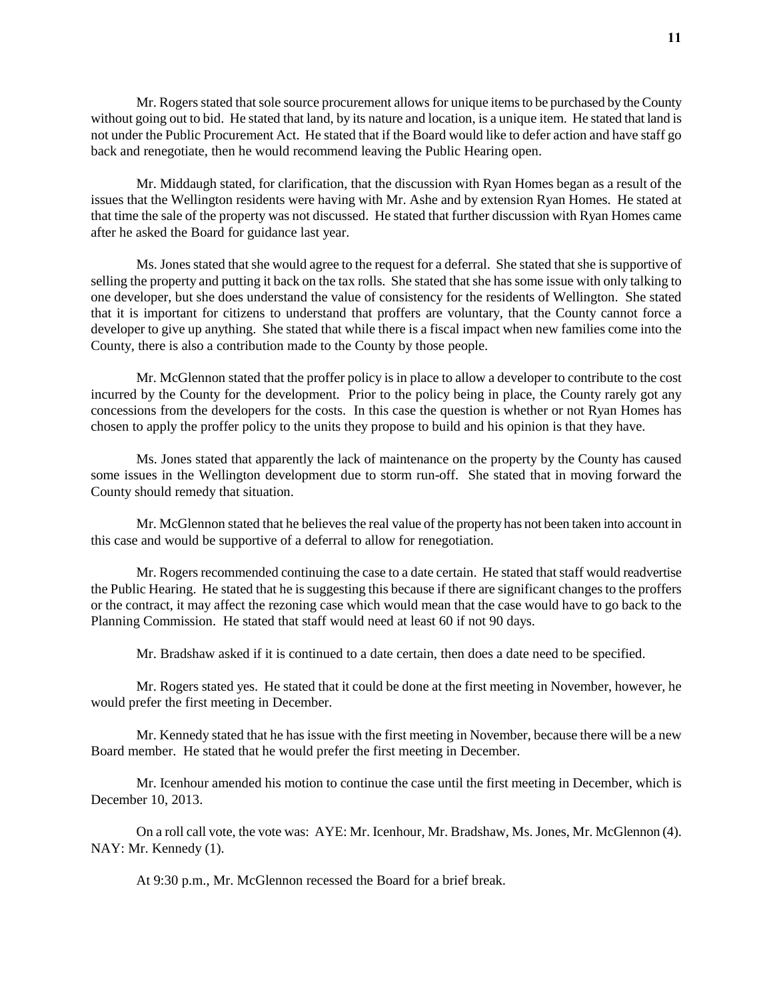Mr. Rogers stated that sole source procurement allows for unique items to be purchased by the County without going out to bid. He stated that land, by its nature and location, is a unique item. He stated that land is not under the Public Procurement Act. He stated that if the Board would like to defer action and have staff go back and renegotiate, then he would recommend leaving the Public Hearing open.

Mr. Middaugh stated, for clarification, that the discussion with Ryan Homes began as a result of the issues that the Wellington residents were having with Mr. Ashe and by extension Ryan Homes. He stated at that time the sale of the property was not discussed. He stated that further discussion with Ryan Homes came after he asked the Board for guidance last year.

Ms. Jones stated that she would agree to the request for a deferral. She stated that she is supportive of selling the property and putting it back on the tax rolls. She stated that she has some issue with only talking to one developer, but she does understand the value of consistency for the residents of Wellington. She stated that it is important for citizens to understand that proffers are voluntary, that the County cannot force a developer to give up anything. She stated that while there is a fiscal impact when new families come into the County, there is also a contribution made to the County by those people.

Mr. McGlennon stated that the proffer policy is in place to allow a developer to contribute to the cost incurred by the County for the development. Prior to the policy being in place, the County rarely got any concessions from the developers for the costs. In this case the question is whether or not Ryan Homes has chosen to apply the proffer policy to the units they propose to build and his opinion is that they have.

Ms. Jones stated that apparently the lack of maintenance on the property by the County has caused some issues in the Wellington development due to storm run-off. She stated that in moving forward the County should remedy that situation.

Mr. McGlennon stated that he believes the real value of the property has not been taken into account in this case and would be supportive of a deferral to allow for renegotiation.

Mr. Rogers recommended continuing the case to a date certain. He stated that staff would readvertise the Public Hearing. He stated that he is suggesting this because if there are significant changes to the proffers or the contract, it may affect the rezoning case which would mean that the case would have to go back to the Planning Commission. He stated that staff would need at least 60 if not 90 days.

Mr. Bradshaw asked if it is continued to a date certain, then does a date need to be specified.

Mr. Rogers stated yes. He stated that it could be done at the first meeting in November, however, he would prefer the first meeting in December.

Mr. Kennedy stated that he has issue with the first meeting in November, because there will be a new Board member. He stated that he would prefer the first meeting in December.

Mr. Icenhour amended his motion to continue the case until the first meeting in December, which is December 10, 2013.

On a roll call vote, the vote was: AYE: Mr. Icenhour, Mr. Bradshaw, Ms. Jones, Mr. McGlennon (4). NAY: Mr. Kennedy (1).

At 9:30 p.m., Mr. McGlennon recessed the Board for a brief break.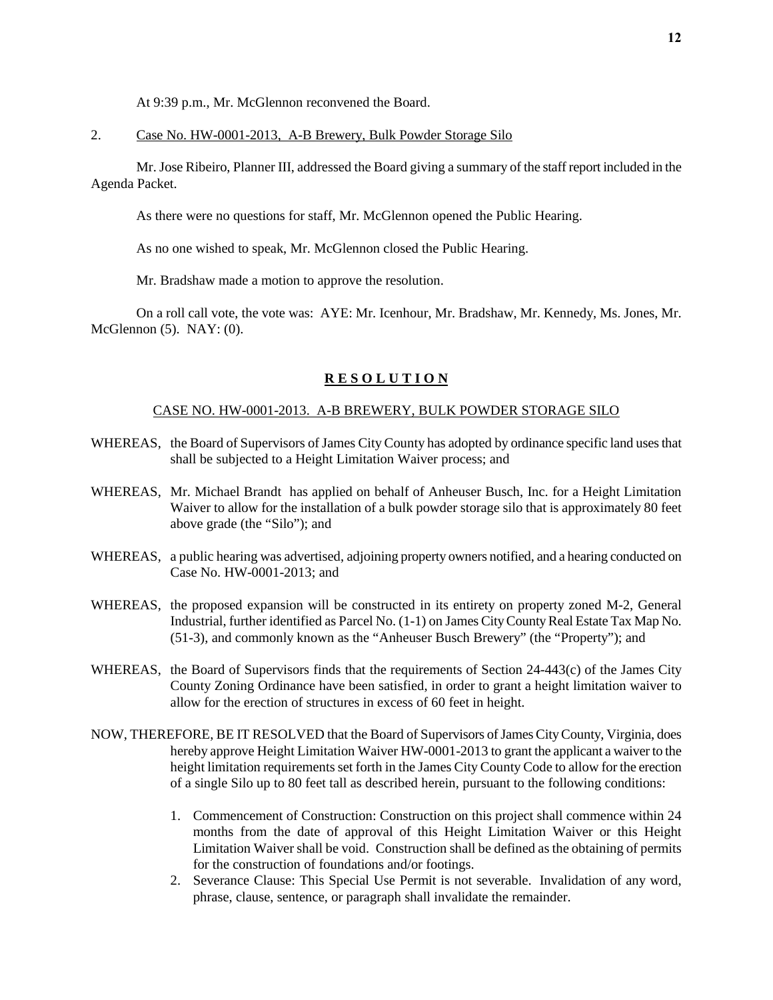At 9:39 p.m., Mr. McGlennon reconvened the Board.

## 2. Case No. HW-0001-2013, A-B Brewery, Bulk Powder Storage Silo

Mr. Jose Ribeiro, Planner III, addressed the Board giving a summary of the staff report included in the Agenda Packet.

As there were no questions for staff, Mr. McGlennon opened the Public Hearing.

As no one wished to speak, Mr. McGlennon closed the Public Hearing.

Mr. Bradshaw made a motion to approve the resolution.

On a roll call vote, the vote was: AYE: Mr. Icenhour, Mr. Bradshaw, Mr. Kennedy, Ms. Jones, Mr. McGlennon (5). NAY: (0).

## **R E S O L U T I O N**

#### CASE NO. HW-0001-2013. A-B BREWERY, BULK POWDER STORAGE SILO

- WHEREAS, the Board of Supervisors of James City County has adopted by ordinance specific land uses that shall be subjected to a Height Limitation Waiver process; and
- WHEREAS, Mr. Michael Brandt has applied on behalf of Anheuser Busch, Inc. for a Height Limitation Waiver to allow for the installation of a bulk powder storage silo that is approximately 80 feet above grade (the "Silo"); and
- WHEREAS, a public hearing was advertised, adjoining property owners notified, and a hearing conducted on Case No. HW-0001-2013; and
- WHEREAS, the proposed expansion will be constructed in its entirety on property zoned M-2, General Industrial, further identified as Parcel No. (1-1) on James City County Real Estate Tax Map No. (51-3), and commonly known as the "Anheuser Busch Brewery" (the "Property"); and
- WHEREAS, the Board of Supervisors finds that the requirements of Section 24-443(c) of the James City County Zoning Ordinance have been satisfied, in order to grant a height limitation waiver to allow for the erection of structures in excess of 60 feet in height.
- NOW, THEREFORE, BE IT RESOLVED that the Board of Supervisors of James City County, Virginia, does hereby approve Height Limitation Waiver HW-0001-2013 to grant the applicant a waiver to the height limitation requirements set forth in the James City County Code to allow for the erection of a single Silo up to 80 feet tall as described herein, pursuant to the following conditions:
	- 1. Commencement of Construction: Construction on this project shall commence within 24 months from the date of approval of this Height Limitation Waiver or this Height Limitation Waiver shall be void. Construction shall be defined as the obtaining of permits for the construction of foundations and/or footings.
	- 2. Severance Clause: This Special Use Permit is not severable. Invalidation of any word, phrase, clause, sentence, or paragraph shall invalidate the remainder.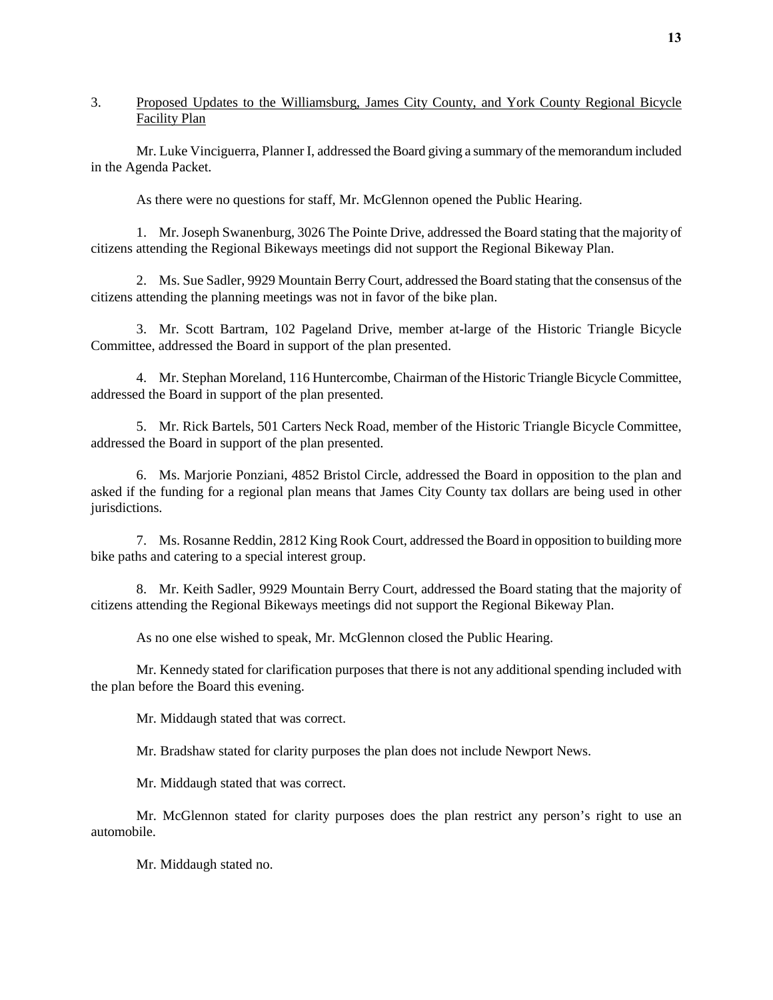## 3. Proposed Updates to the Williamsburg, James City County, and York County Regional Bicycle Facility Plan

Mr. Luke Vinciguerra, Planner I, addressed the Board giving a summary of the memorandum included in the Agenda Packet.

As there were no questions for staff, Mr. McGlennon opened the Public Hearing.

1. Mr. Joseph Swanenburg, 3026 The Pointe Drive, addressed the Board stating that the majority of citizens attending the Regional Bikeways meetings did not support the Regional Bikeway Plan.

2. Ms. Sue Sadler, 9929 Mountain Berry Court, addressed the Board stating that the consensus of the citizens attending the planning meetings was not in favor of the bike plan.

3. Mr. Scott Bartram, 102 Pageland Drive, member at-large of the Historic Triangle Bicycle Committee, addressed the Board in support of the plan presented.

4. Mr. Stephan Moreland, 116 Huntercombe, Chairman of the Historic Triangle Bicycle Committee, addressed the Board in support of the plan presented.

5. Mr. Rick Bartels, 501 Carters Neck Road, member of the Historic Triangle Bicycle Committee, addressed the Board in support of the plan presented.

6. Ms. Marjorie Ponziani, 4852 Bristol Circle, addressed the Board in opposition to the plan and asked if the funding for a regional plan means that James City County tax dollars are being used in other jurisdictions.

7. Ms. Rosanne Reddin, 2812 King Rook Court, addressed the Board in opposition to building more bike paths and catering to a special interest group.

8. Mr. Keith Sadler, 9929 Mountain Berry Court, addressed the Board stating that the majority of citizens attending the Regional Bikeways meetings did not support the Regional Bikeway Plan.

As no one else wished to speak, Mr. McGlennon closed the Public Hearing.

Mr. Kennedy stated for clarification purposes that there is not any additional spending included with the plan before the Board this evening.

Mr. Middaugh stated that was correct.

Mr. Bradshaw stated for clarity purposes the plan does not include Newport News.

Mr. Middaugh stated that was correct.

Mr. McGlennon stated for clarity purposes does the plan restrict any person's right to use an automobile.

Mr. Middaugh stated no.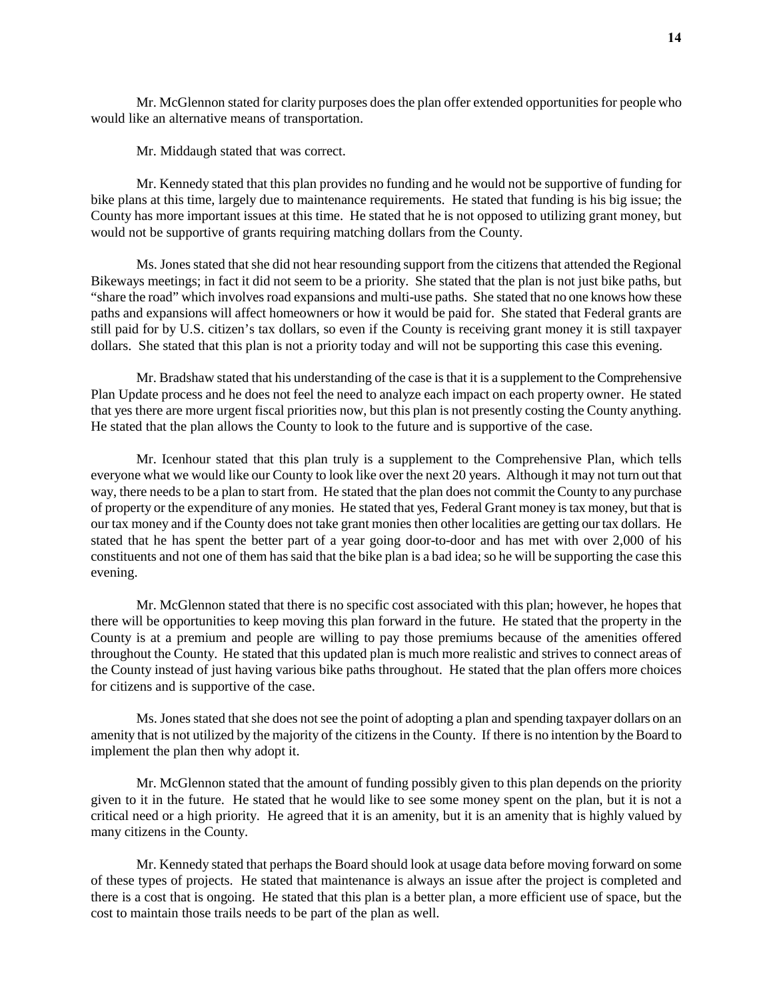Mr. McGlennon stated for clarity purposes does the plan offer extended opportunities for people who would like an alternative means of transportation.

Mr. Middaugh stated that was correct.

Mr. Kennedy stated that this plan provides no funding and he would not be supportive of funding for bike plans at this time, largely due to maintenance requirements. He stated that funding is his big issue; the County has more important issues at this time. He stated that he is not opposed to utilizing grant money, but would not be supportive of grants requiring matching dollars from the County.

Ms. Jones stated that she did not hear resounding support from the citizens that attended the Regional Bikeways meetings; in fact it did not seem to be a priority. She stated that the plan is not just bike paths, but "share the road" which involves road expansions and multi-use paths. She stated that no one knows how these paths and expansions will affect homeowners or how it would be paid for. She stated that Federal grants are still paid for by U.S. citizen's tax dollars, so even if the County is receiving grant money it is still taxpayer dollars. She stated that this plan is not a priority today and will not be supporting this case this evening.

Mr. Bradshaw stated that his understanding of the case is that it is a supplement to the Comprehensive Plan Update process and he does not feel the need to analyze each impact on each property owner. He stated that yes there are more urgent fiscal priorities now, but this plan is not presently costing the County anything. He stated that the plan allows the County to look to the future and is supportive of the case.

Mr. Icenhour stated that this plan truly is a supplement to the Comprehensive Plan, which tells everyone what we would like our County to look like over the next 20 years. Although it may not turn out that way, there needs to be a plan to start from. He stated that the plan does not commit the County to any purchase of property or the expenditure of any monies. He stated that yes, Federal Grant money is tax money, but that is our tax money and if the County does not take grant monies then other localities are getting our tax dollars. He stated that he has spent the better part of a year going door-to-door and has met with over 2,000 of his constituents and not one of them has said that the bike plan is a bad idea; so he will be supporting the case this evening.

Mr. McGlennon stated that there is no specific cost associated with this plan; however, he hopes that there will be opportunities to keep moving this plan forward in the future. He stated that the property in the County is at a premium and people are willing to pay those premiums because of the amenities offered throughout the County. He stated that this updated plan is much more realistic and strives to connect areas of the County instead of just having various bike paths throughout. He stated that the plan offers more choices for citizens and is supportive of the case.

Ms. Jones stated that she does not see the point of adopting a plan and spending taxpayer dollars on an amenity that is not utilized by the majority of the citizens in the County. If there is no intention by the Board to implement the plan then why adopt it.

Mr. McGlennon stated that the amount of funding possibly given to this plan depends on the priority given to it in the future. He stated that he would like to see some money spent on the plan, but it is not a critical need or a high priority. He agreed that it is an amenity, but it is an amenity that is highly valued by many citizens in the County.

 Mr. Kennedy stated that perhaps the Board should look at usage data before moving forward on some of these types of projects. He stated that maintenance is always an issue after the project is completed and there is a cost that is ongoing. He stated that this plan is a better plan, a more efficient use of space, but the cost to maintain those trails needs to be part of the plan as well.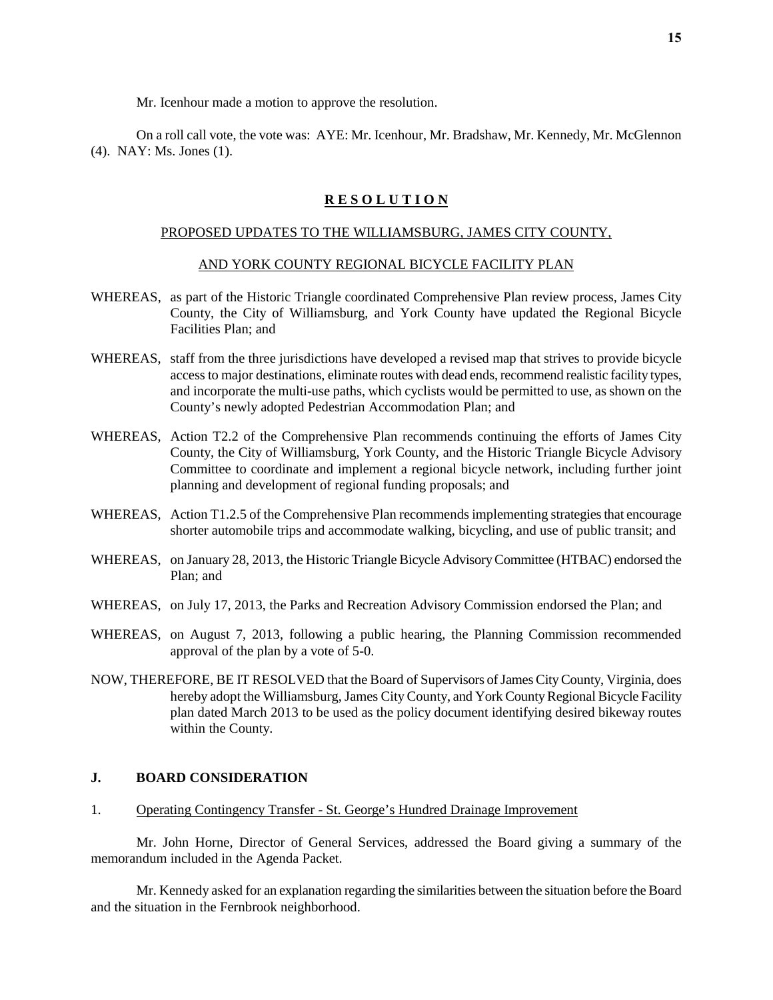Mr. Icenhour made a motion to approve the resolution.

On a roll call vote, the vote was: AYE: Mr. Icenhour, Mr. Bradshaw, Mr. Kennedy, Mr. McGlennon (4). NAY: Ms. Jones (1).

#### **R E S O L U T I O N**

## PROPOSED UPDATES TO THE WILLIAMSBURG, JAMES CITY COUNTY,

#### AND YORK COUNTY REGIONAL BICYCLE FACILITY PLAN

- WHEREAS, as part of the Historic Triangle coordinated Comprehensive Plan review process, James City County, the City of Williamsburg, and York County have updated the Regional Bicycle Facilities Plan; and
- WHEREAS, staff from the three jurisdictions have developed a revised map that strives to provide bicycle access to major destinations, eliminate routes with dead ends, recommend realistic facility types, and incorporate the multi-use paths, which cyclists would be permitted to use, as shown on the County's newly adopted Pedestrian Accommodation Plan; and
- WHEREAS, Action T2.2 of the Comprehensive Plan recommends continuing the efforts of James City County, the City of Williamsburg, York County, and the Historic Triangle Bicycle Advisory Committee to coordinate and implement a regional bicycle network, including further joint planning and development of regional funding proposals; and
- WHEREAS, Action T1.2.5 of the Comprehensive Plan recommends implementing strategies that encourage shorter automobile trips and accommodate walking, bicycling, and use of public transit; and
- WHEREAS, on January 28, 2013, the Historic Triangle Bicycle Advisory Committee (HTBAC) endorsed the Plan; and
- WHEREAS, on July 17, 2013, the Parks and Recreation Advisory Commission endorsed the Plan; and
- WHEREAS, on August 7, 2013, following a public hearing, the Planning Commission recommended approval of the plan by a vote of 5-0.
- NOW, THEREFORE, BE IT RESOLVED that the Board of Supervisors of James City County, Virginia, does hereby adopt the Williamsburg, James City County, and York County Regional Bicycle Facility plan dated March 2013 to be used as the policy document identifying desired bikeway routes within the County.

## **J. BOARD CONSIDERATION**

1. Operating Contingency Transfer - St. George's Hundred Drainage Improvement

Mr. John Horne, Director of General Services, addressed the Board giving a summary of the memorandum included in the Agenda Packet.

Mr. Kennedy asked for an explanation regarding the similarities between the situation before the Board and the situation in the Fernbrook neighborhood.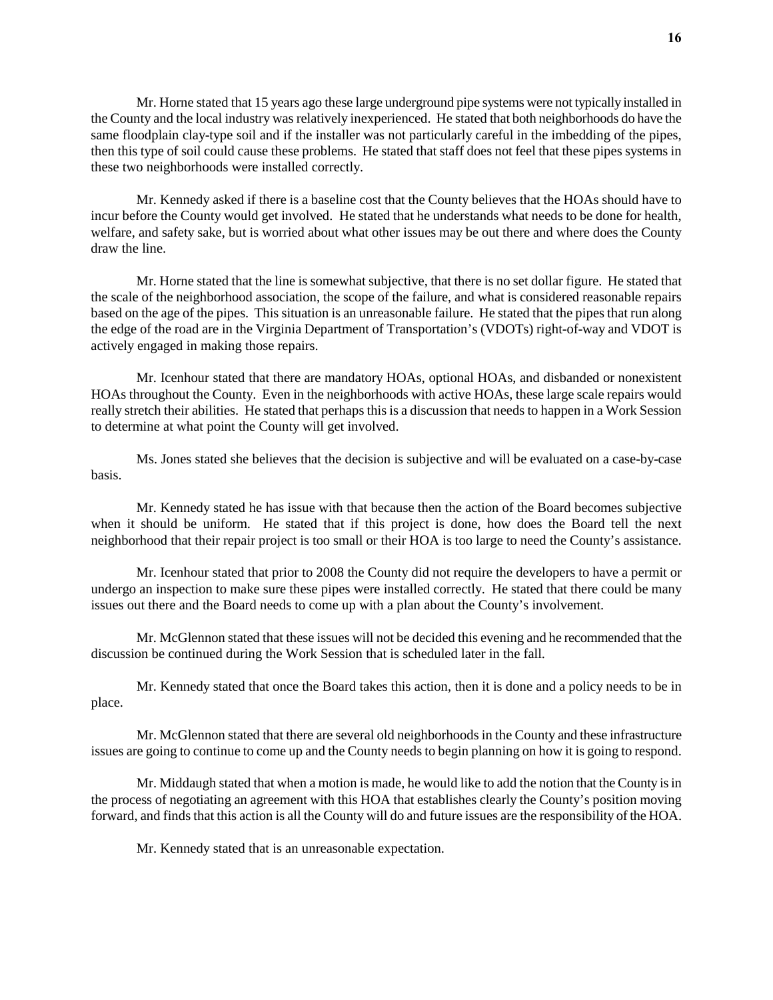Mr. Horne stated that 15 years ago these large underground pipe systems were not typically installed in the County and the local industry was relatively inexperienced. He stated that both neighborhoods do have the same floodplain clay-type soil and if the installer was not particularly careful in the imbedding of the pipes, then this type of soil could cause these problems. He stated that staff does not feel that these pipes systems in these two neighborhoods were installed correctly.

Mr. Kennedy asked if there is a baseline cost that the County believes that the HOAs should have to incur before the County would get involved. He stated that he understands what needs to be done for health, welfare, and safety sake, but is worried about what other issues may be out there and where does the County draw the line.

Mr. Horne stated that the line is somewhat subjective, that there is no set dollar figure. He stated that the scale of the neighborhood association, the scope of the failure, and what is considered reasonable repairs based on the age of the pipes. This situation is an unreasonable failure. He stated that the pipes that run along the edge of the road are in the Virginia Department of Transportation's (VDOTs) right-of-way and VDOT is actively engaged in making those repairs.

Mr. Icenhour stated that there are mandatory HOAs, optional HOAs, and disbanded or nonexistent HOAs throughout the County. Even in the neighborhoods with active HOAs, these large scale repairs would really stretch their abilities. He stated that perhaps this is a discussion that needs to happen in a Work Session to determine at what point the County will get involved.

Ms. Jones stated she believes that the decision is subjective and will be evaluated on a case-by-case basis.

Mr. Kennedy stated he has issue with that because then the action of the Board becomes subjective when it should be uniform. He stated that if this project is done, how does the Board tell the next neighborhood that their repair project is too small or their HOA is too large to need the County's assistance.

Mr. Icenhour stated that prior to 2008 the County did not require the developers to have a permit or undergo an inspection to make sure these pipes were installed correctly. He stated that there could be many issues out there and the Board needs to come up with a plan about the County's involvement.

Mr. McGlennon stated that these issues will not be decided this evening and he recommended that the discussion be continued during the Work Session that is scheduled later in the fall.

Mr. Kennedy stated that once the Board takes this action, then it is done and a policy needs to be in place.

Mr. McGlennon stated that there are several old neighborhoods in the County and these infrastructure issues are going to continue to come up and the County needs to begin planning on how it is going to respond.

Mr. Middaugh stated that when a motion is made, he would like to add the notion that the County is in the process of negotiating an agreement with this HOA that establishes clearly the County's position moving forward, and finds that this action is all the County will do and future issues are the responsibility of the HOA.

Mr. Kennedy stated that is an unreasonable expectation.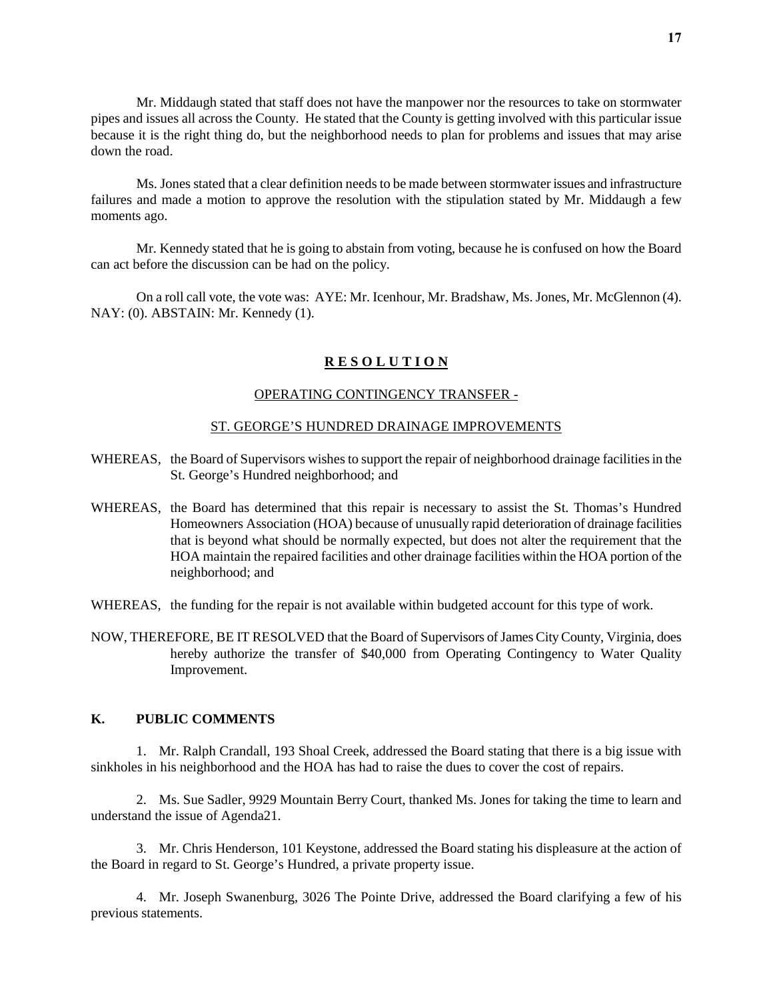Mr. Middaugh stated that staff does not have the manpower nor the resources to take on stormwater pipes and issues all across the County. He stated that the County is getting involved with this particular issue because it is the right thing do, but the neighborhood needs to plan for problems and issues that may arise down the road.

Ms. Jones stated that a clear definition needs to be made between stormwater issues and infrastructure failures and made a motion to approve the resolution with the stipulation stated by Mr. Middaugh a few moments ago.

Mr. Kennedy stated that he is going to abstain from voting, because he is confused on how the Board can act before the discussion can be had on the policy.

On a roll call vote, the vote was: AYE: Mr. Icenhour, Mr. Bradshaw, Ms. Jones, Mr. McGlennon (4). NAY: (0). ABSTAIN: Mr. Kennedy (1).

## **R E S O L U T I O N**

#### OPERATING CONTINGENCY TRANSFER -

#### ST. GEORGE'S HUNDRED DRAINAGE IMPROVEMENTS

- WHEREAS, the Board of Supervisors wishes to support the repair of neighborhood drainage facilities in the St. George's Hundred neighborhood; and
- WHEREAS, the Board has determined that this repair is necessary to assist the St. Thomas's Hundred Homeowners Association (HOA) because of unusually rapid deterioration of drainage facilities that is beyond what should be normally expected, but does not alter the requirement that the HOA maintain the repaired facilities and other drainage facilities within the HOA portion of the neighborhood; and
- WHEREAS, the funding for the repair is not available within budgeted account for this type of work.
- NOW, THEREFORE, BE IT RESOLVED that the Board of Supervisors of James City County, Virginia, does hereby authorize the transfer of \$40,000 from Operating Contingency to Water Quality Improvement.

## **K. PUBLIC COMMENTS**

1. Mr. Ralph Crandall, 193 Shoal Creek, addressed the Board stating that there is a big issue with sinkholes in his neighborhood and the HOA has had to raise the dues to cover the cost of repairs.

2. Ms. Sue Sadler, 9929 Mountain Berry Court, thanked Ms. Jones for taking the time to learn and understand the issue of Agenda21.

3. Mr. Chris Henderson, 101 Keystone, addressed the Board stating his displeasure at the action of the Board in regard to St. George's Hundred, a private property issue.

4. Mr. Joseph Swanenburg, 3026 The Pointe Drive, addressed the Board clarifying a few of his previous statements.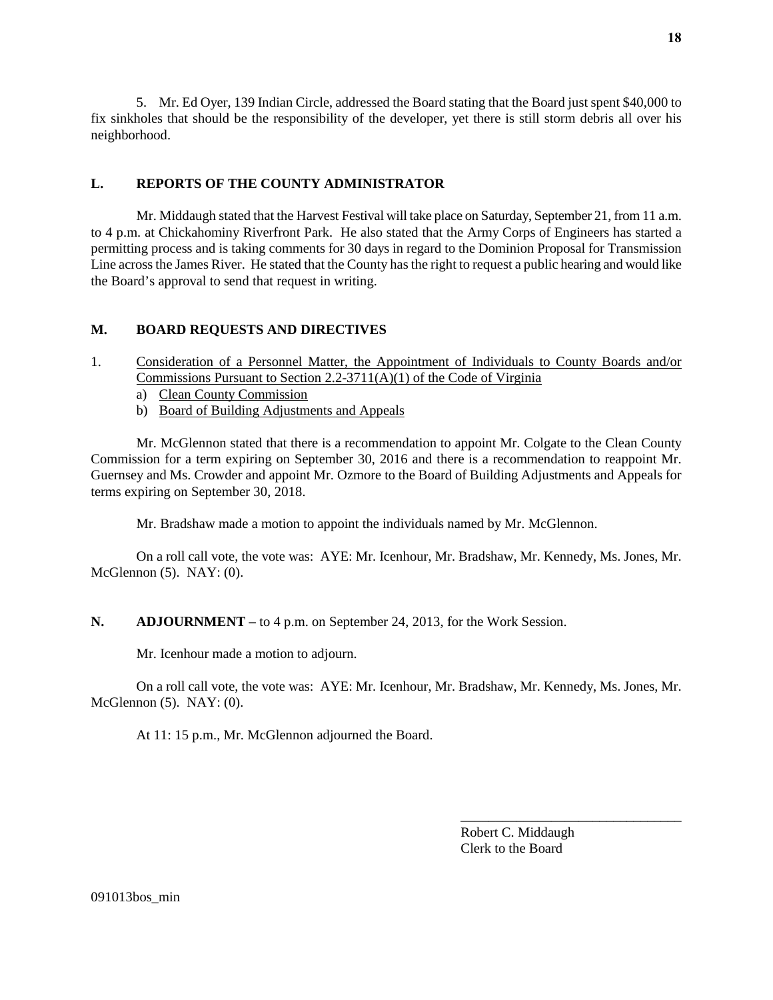5. Mr. Ed Oyer, 139 Indian Circle, addressed the Board stating that the Board just spent \$40,000 to fix sinkholes that should be the responsibility of the developer, yet there is still storm debris all over his neighborhood.

## **L. REPORTS OF THE COUNTY ADMINISTRATOR**

Mr. Middaugh stated that the Harvest Festival will take place on Saturday, September 21, from 11 a.m. to 4 p.m. at Chickahominy Riverfront Park. He also stated that the Army Corps of Engineers has started a permitting process and is taking comments for 30 days in regard to the Dominion Proposal for Transmission Line across the James River. He stated that the County has the right to request a public hearing and would like the Board's approval to send that request in writing.

## **M. BOARD REQUESTS AND DIRECTIVES**

- 1. Consideration of a Personnel Matter, the Appointment of Individuals to County Boards and/or Commissions Pursuant to Section 2.2-3711(A)(1) of the Code of Virginia
	- a) Clean County Commission
	- b) Board of Building Adjustments and Appeals

Mr. McGlennon stated that there is a recommendation to appoint Mr. Colgate to the Clean County Commission for a term expiring on September 30, 2016 and there is a recommendation to reappoint Mr. Guernsey and Ms. Crowder and appoint Mr. Ozmore to the Board of Building Adjustments and Appeals for terms expiring on September 30, 2018.

Mr. Bradshaw made a motion to appoint the individuals named by Mr. McGlennon.

On a roll call vote, the vote was: AYE: Mr. Icenhour, Mr. Bradshaw, Mr. Kennedy, Ms. Jones, Mr. McGlennon (5). NAY: (0).

## **N. ADJOURNMENT –** to 4 p.m. on September 24, 2013, for the Work Session.

Mr. Icenhour made a motion to adjourn.

On a roll call vote, the vote was: AYE: Mr. Icenhour, Mr. Bradshaw, Mr. Kennedy, Ms. Jones, Mr. McGlennon (5). NAY: (0).

At 11: 15 p.m., Mr. McGlennon adjourned the Board.

Robert C. Middaugh Clerk to the Board

\_\_\_\_\_\_\_\_\_\_\_\_\_\_\_\_\_\_\_\_\_\_\_\_\_\_\_\_\_\_\_\_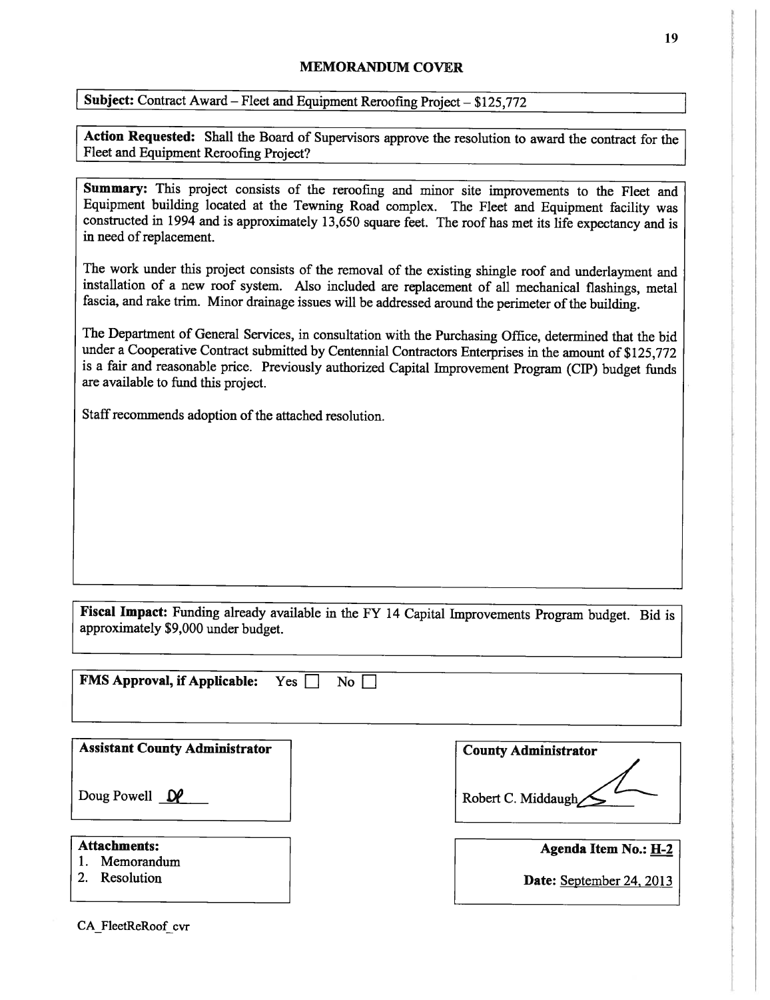## MEMORANDUM COVER

Subject: Contract Award – Fleet and Equipment Reroofing Project – \$125,772

Action Requested: Shall the Board of Supervisors approve the resolution to award the contract for the Fleet and Equipment Reroofmg Project?

Summary: This project consists of the reroofing and minor site improvements to the Fleet and Equipment building located at the Tewning Road complex. The Fleet and Equipment facility was constructed in <sup>1994</sup> and is approximately 13,650 square feet. The roof has met its life expectancy and is in need of replacement.

The work under this project consists of the removal of the existing shingle roof and underlayment and installation of <sup>a</sup> new roof system. Also included are replacement of all mechanical flashings, metal fascia, and rake trim. Minor drainage issues will be addressed around the perimeter of the building.

The Department of General Services, in consultation with the Purchasing Office, determined that the bid under <sup>a</sup> Cooperative Contract submitted by Centennial Contractors Enterprises in the amount of \$125,772 is <sup>a</sup> fair and reasonable price. Previously authorized Capital Improvement Program (CIP) budget funds are available to fund this project.

Staff recommends adoption of the attached resolution.

Fiscal Impact: Funding already available in the FY <sup>14</sup> Capital Improvements Program budget. Bid is approximately \$9,000 under budget.

| <b>FMS Approval, if Applicable:</b> Yes $\Box$ | N <sub>o</sub> |  |  |  |
|------------------------------------------------|----------------|--|--|--|
|                                                |                |  |  |  |

| <b>Assistant County Administrator</b> | <b>County Administrator</b> |
|---------------------------------------|-----------------------------|
| Doug Powell $\mathbf{D}$              | Robert C. Middaugh          |
| <b>Attachments:</b><br>Memorandum     | Agenda Item No.: H-2        |
| Resolution                            | Date: September 24, 2013    |

CA FleetReRoof cvr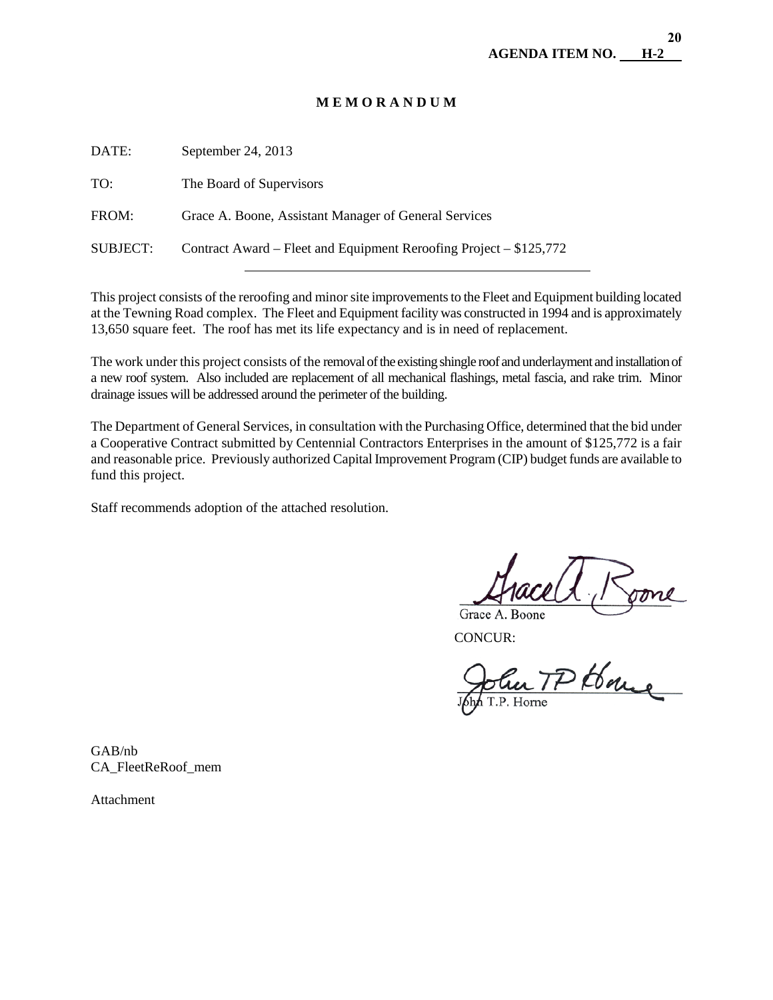## **M E M O R A N D U M**

| DATE:           | September 24, 2013                                                 |
|-----------------|--------------------------------------------------------------------|
| TO:             | The Board of Supervisors                                           |
| FROM:           | Grace A. Boone, Assistant Manager of General Services              |
| <b>SUBJECT:</b> | Contract Award – Fleet and Equipment Reroofing Project – \$125,772 |
|                 |                                                                    |

This project consists of the reroofing and minor site improvements to the Fleet and Equipment building located at the Tewning Road complex. The Fleet and Equipment facility was constructed in 1994 and is approximately 13,650 square feet. The roof has met its life expectancy and is in need of replacement.

The work under this project consists of the removal of the existing shingle roof and underlayment and installation of a new roof system. Also included are replacement of all mechanical flashings, metal fascia, and rake trim. Minor drainage issues will be addressed around the perimeter of the building.

The Department of General Services, in consultation with the Purchasing Office, determined that the bid under a Cooperative Contract submitted by Centennial Contractors Enterprises in the amount of \$125,772 is a fair and reasonable price. Previously authorized Capital Improvement Program (CIP) budget funds are available to fund this project.

Staff recommends adoption of the attached resolution.

Grace A. Boone<br>CONCUR:<br>CONCUR:<br>John T.P. Horne

GAB/nb CA\_FleetReRoof\_mem

Attachment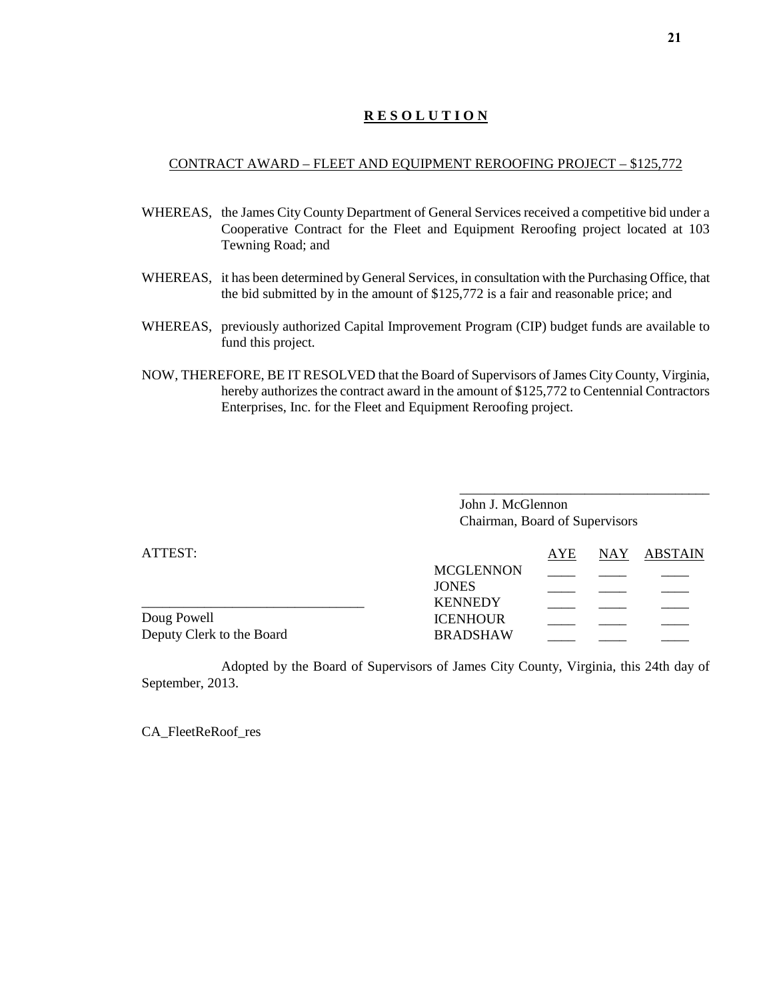## **R E S O L U T I O N**

#### CONTRACT AWARD – FLEET AND EQUIPMENT REROOFING PROJECT – \$125,772

- WHEREAS, the James City County Department of General Services received a competitive bid under a Cooperative Contract for the Fleet and Equipment Reroofing project located at 103 Tewning Road; and
- WHEREAS, it has been determined by General Services, in consultation with the Purchasing Office, that the bid submitted by in the amount of \$125,772 is a fair and reasonable price; and
- WHEREAS, previously authorized Capital Improvement Program (CIP) budget funds are available to fund this project.
- NOW, THEREFORE, BE IT RESOLVED that the Board of Supervisors of James City County, Virginia, hereby authorizes the contract award in the amount of \$125,772 to Centennial Contractors Enterprises, Inc. for the Fleet and Equipment Reroofing project.

John J. McGlennon Chairman, Board of Supervisors

\_\_\_\_\_\_\_\_\_\_\_\_\_\_\_\_\_\_\_\_\_\_\_\_\_\_\_\_\_\_\_\_\_\_\_\_

| ATTEST:                   |                  | AYE | NAY ABSTAIN |
|---------------------------|------------------|-----|-------------|
|                           | <b>MCGLENNON</b> |     |             |
|                           | <b>JONES</b>     |     |             |
|                           | <b>KENNEDY</b>   |     |             |
| Doug Powell               | <b>ICENHOUR</b>  |     |             |
| Deputy Clerk to the Board | <b>BRADSHAW</b>  |     |             |

Adopted by the Board of Supervisors of James City County, Virginia, this 24th day of September, 2013.

CA\_FleetReRoof\_res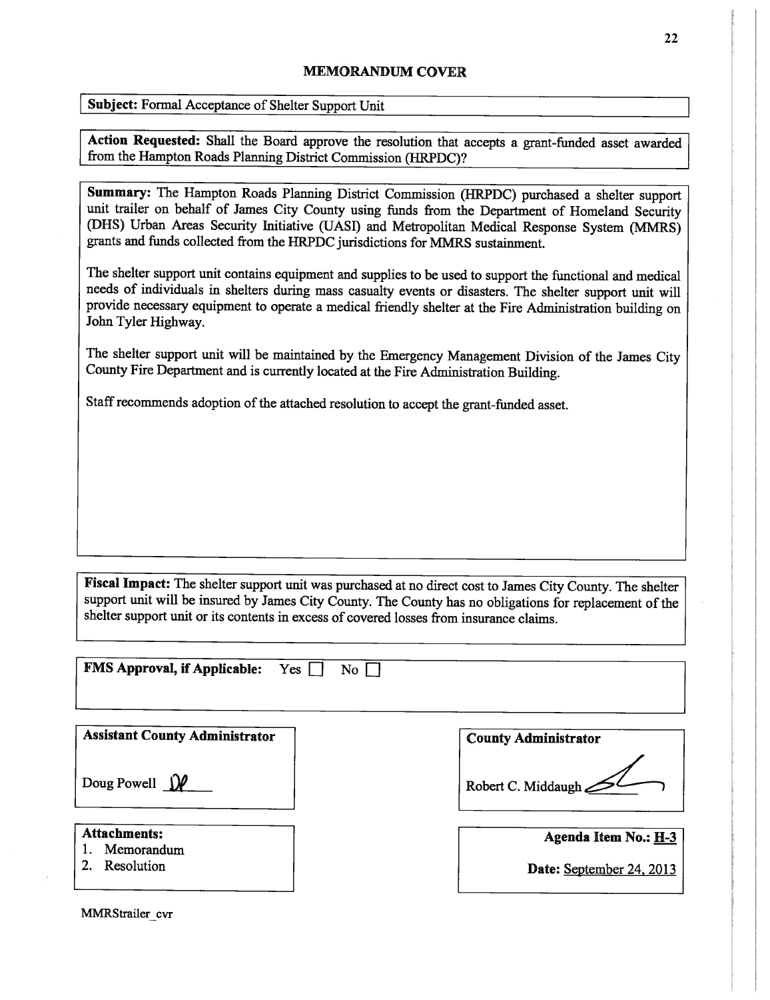### MEMORANDUM COVER

|  |  |  | Subject: Formal Acceptance of Shelter Support Unit |  |
|--|--|--|----------------------------------------------------|--|
|--|--|--|----------------------------------------------------|--|

Action Requested: Shall the Board approve the resolution that accepts <sup>a</sup> grant-funded asset awarded from the Hampton Roads Planning District Commission (HRPDC)?

Summary: The Hampton Roads Planning District Commission (HRPDC) purchased <sup>a</sup> shelter support unit trailer on behalf of James City County using funds from the Department of Homeland Security (DHS) Urban Areas Security Initiative (IJASI) and Metropolitan Medical Response System (MMRS) grants and funds collected from the I{RPDC jurisdictions for MMRS sustainment.

The shelter support unit contains equipment and supplies to be used to support the functional and medical needs of individuals in shelters during mass casualty events or disasters. The shelter support unit will provide necessary equipment to operate <sup>a</sup> medical friendly shelter at the Fire Administration building on John Tyler Highway.

The shelter support unit will be maintained by the Emergency Management Division of the James City County Fire Department and is currently located at the Fire Administration Building.

Staff recommends adoption of the attached resolution to accept the grant-funded asset.

Fiscal Impact: The shelter support unit was purchased at no direct cost to James City County. The shelter support unit will be insured by James City County. The County has no obligations for replacement of the shelter support unit or its contents in excess of covered losses from insurance claims.

**FMS Approval, if Applicable:** Yes  $\Box$  No  $\Box$ 

| <b>Assistant County Administrator</b> | <b>County Administrator</b> |
|---------------------------------------|-----------------------------|
| Doug Powell $\iiint$                  | Robert C. Middaugh          |
| <b>Attachments:</b><br>Memorandum     | Agenda Item No.: H-3        |
| Resolution                            | Date: September 24, 2013    |

MMRStrailer cvr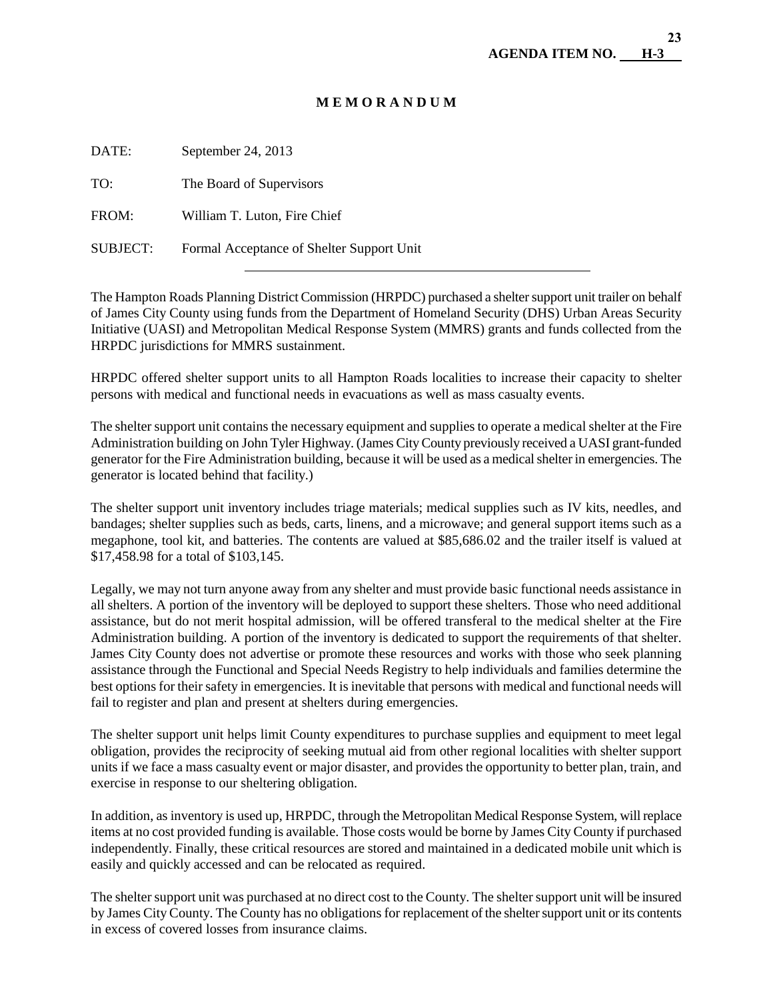## **M E M O R A N D U M**

| DATE:           | September 24, 2013                        |
|-----------------|-------------------------------------------|
| TO:             | The Board of Supervisors                  |
| FROM:           | William T. Luton, Fire Chief              |
| <b>SUBJECT:</b> | Formal Acceptance of Shelter Support Unit |
|                 |                                           |

The Hampton Roads Planning District Commission (HRPDC) purchased a shelter support unit trailer on behalf of James City County using funds from the Department of Homeland Security (DHS) Urban Areas Security Initiative (UASI) and Metropolitan Medical Response System (MMRS) grants and funds collected from the HRPDC jurisdictions for MMRS sustainment.

HRPDC offered shelter support units to all Hampton Roads localities to increase their capacity to shelter persons with medical and functional needs in evacuations as well as mass casualty events.

The shelter support unit contains the necessary equipment and supplies to operate a medical shelter at the Fire Administration building on John Tyler Highway. (James City County previously received a UASI grant-funded generator for the Fire Administration building, because it will be used as a medical shelter in emergencies. The generator is located behind that facility.)

The shelter support unit inventory includes triage materials; medical supplies such as IV kits, needles, and bandages; shelter supplies such as beds, carts, linens, and a microwave; and general support items such as a megaphone, tool kit, and batteries. The contents are valued at \$85,686.02 and the trailer itself is valued at \$17,458.98 for a total of \$103,145.

Legally, we may not turn anyone away from any shelter and must provide basic functional needs assistance in all shelters. A portion of the inventory will be deployed to support these shelters. Those who need additional assistance, but do not merit hospital admission, will be offered transferal to the medical shelter at the Fire Administration building. A portion of the inventory is dedicated to support the requirements of that shelter. James City County does not advertise or promote these resources and works with those who seek planning assistance through the Functional and Special Needs Registry to help individuals and families determine the best options for their safety in emergencies. It is inevitable that persons with medical and functional needs will fail to register and plan and present at shelters during emergencies.

The shelter support unit helps limit County expenditures to purchase supplies and equipment to meet legal obligation, provides the reciprocity of seeking mutual aid from other regional localities with shelter support units if we face a mass casualty event or major disaster, and provides the opportunity to better plan, train, and exercise in response to our sheltering obligation.

In addition, as inventory is used up, HRPDC, through the Metropolitan Medical Response System, will replace items at no cost provided funding is available. Those costs would be borne by James City County if purchased independently. Finally, these critical resources are stored and maintained in a dedicated mobile unit which is easily and quickly accessed and can be relocated as required.

The shelter support unit was purchased at no direct cost to the County. The shelter support unit will be insured by James City County. The County has no obligations for replacement of the shelter support unit or its contents in excess of covered losses from insurance claims.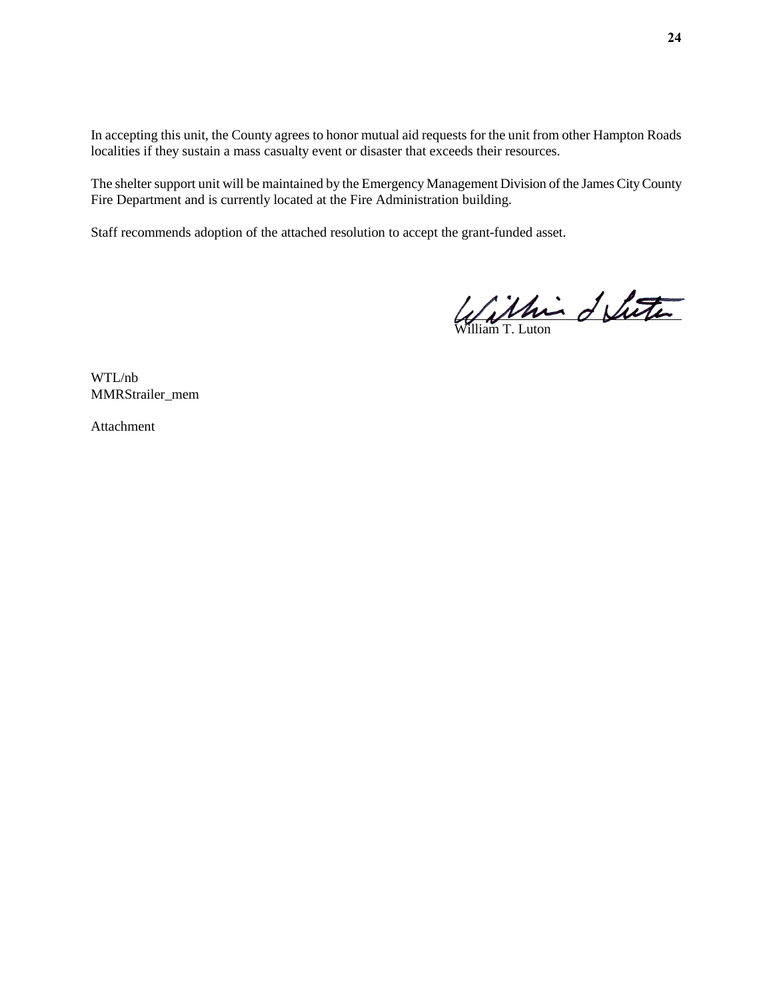In accepting this unit, the County agrees to honor mutual aid requests for the unit from other Hampton Roads localities if they sustain a mass casualty event or disaster that exceeds their resources.

The shelter support unit will be maintained by the Emergency Management Division of the James City County Fire Department and is currently located at the Fire Administration building.

Staff recommends adoption of the attached resolution to accept the grant-funded asset.

í

William T. Luton

WTL/nb MMRStrailer\_mem

Attachment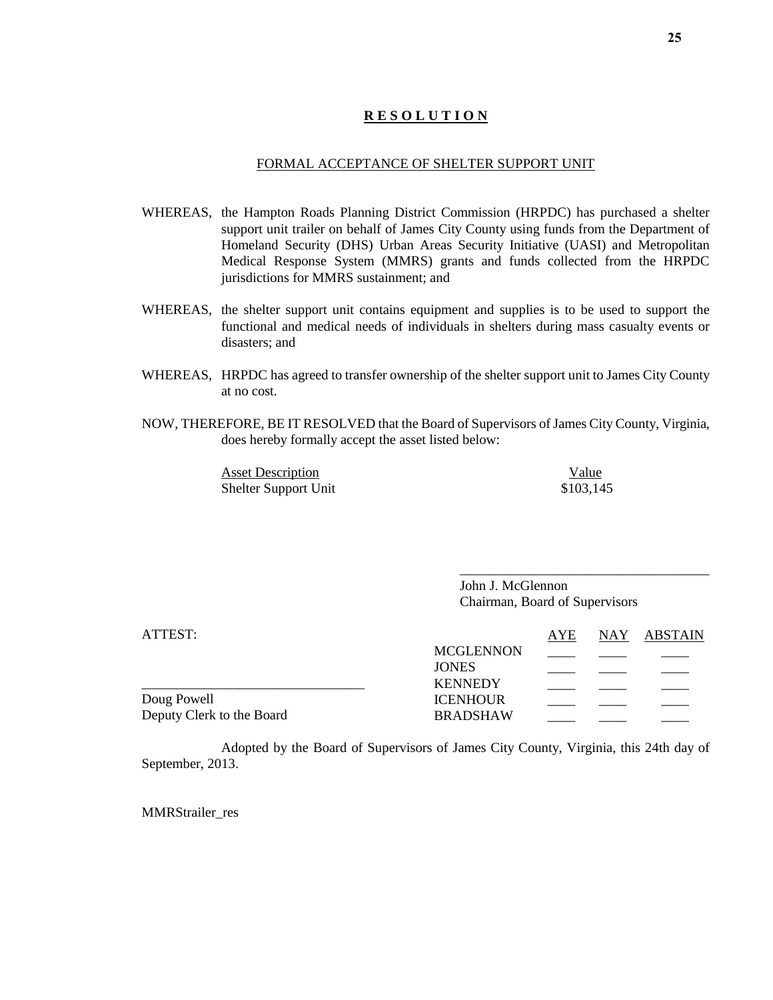## **R E S O L U T I O N**

#### FORMAL ACCEPTANCE OF SHELTER SUPPORT UNIT

- WHEREAS, the Hampton Roads Planning District Commission (HRPDC) has purchased a shelter support unit trailer on behalf of James City County using funds from the Department of Homeland Security (DHS) Urban Areas Security Initiative (UASI) and Metropolitan Medical Response System (MMRS) grants and funds collected from the HRPDC jurisdictions for MMRS sustainment; and
- WHEREAS, the shelter support unit contains equipment and supplies is to be used to support the functional and medical needs of individuals in shelters during mass casualty events or disasters; and
- WHEREAS, HRPDC has agreed to transfer ownership of the shelter support unit to James City County at no cost.
- NOW, THEREFORE, BE IT RESOLVED that the Board of Supervisors of James City County, Virginia, does hereby formally accept the asset listed below:

Asset Description Value Shelter Support Unit \$103,145

\_\_\_\_\_\_\_\_\_\_\_\_\_\_\_\_\_\_\_\_\_\_\_\_\_\_\_\_\_\_\_\_\_\_\_\_

John J. McGlennon Chairman, Board of Supervisors

| ATTEST:                   |                  | AYE | NAY ABSTAIN |
|---------------------------|------------------|-----|-------------|
|                           | <b>MCGLENNON</b> |     |             |
|                           | <b>JONES</b>     |     |             |
|                           | <b>KENNEDY</b>   |     |             |
| Doug Powell               | <b>ICENHOUR</b>  |     |             |
| Deputy Clerk to the Board | <b>BRADSHAW</b>  |     |             |

Adopted by the Board of Supervisors of James City County, Virginia, this 24th day of September, 2013.

MMRStrailer\_res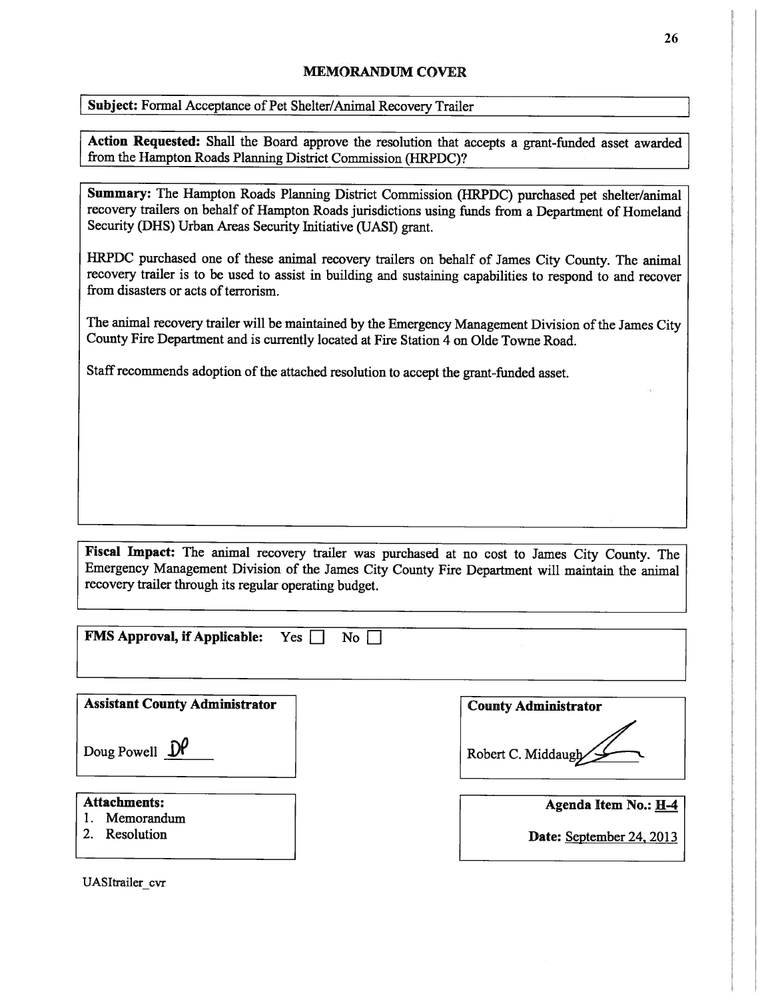## MEMORANDUM COVER

Subject: Formal Acceptance of Pet Shelter/Animal Recovery Trailer

Action Requested: Shall the Board approve the resolution that accepts a grant-funded asset awarded from the Hampton Roads Planning District Commission (HRPDC)?

Summary: The Hampton Roads Planning District Commission (HRPDC) purchased pet shelter/animal recovery trailers on behalf of Hampton Roads jurisdictions using funds from <sup>a</sup> Department of Homeland Security (DHS) Urban Areas Security Initiative (UASI) grant.

HRPDC purchased one of these animal recovery trailers on behalf of James City County. The animal recovery trailer is to be used to assist in building and sustaining capabilities to respond to and recover from disasters or acts of terrorism.

The animal recovery trailer will be maintained by the Emergency Management Division of the James City County Fire Department and is currently located at Fire Station <sup>4</sup> on Olde Towne Road.

Staff recommends adoption of the attached resolution to accept the grant-funded asset.

Fiscal Impact: The animal recovery trailer was purchased at no cost to James City County. The Emergency Management Division of the James City County Fire Department will maintain the animal recovery trailer through its regular operating budget.

**FMS Approval, if Applicable:** Yes  $\Box$  No  $\Box$ 

**Assistant County Administrator** 

Doug Powell  $\mathcal{D}^{\rho}$ 

- 1. Memorandum
- 

UASItrailer cvr

| Robert C. Middaugh |
|--------------------|

| Attachments:  | Agenda Item No.: H-4     |
|---------------|--------------------------|
| 1. Memorandum |                          |
| 2. Resolution | Date: September 24, 2013 |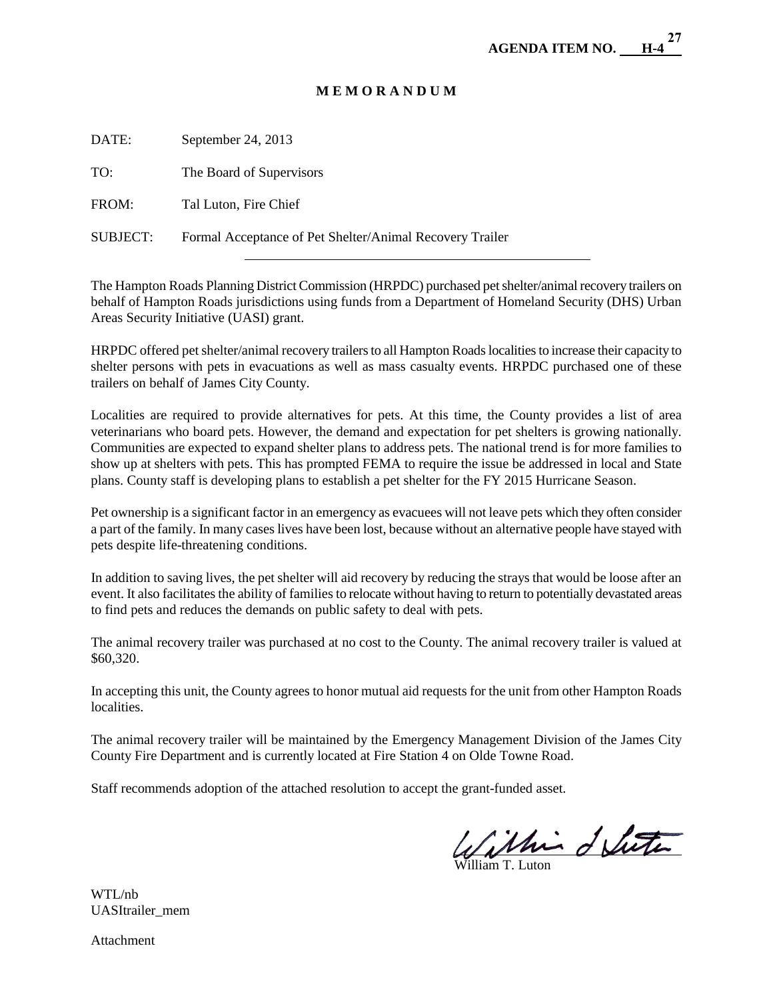# **M E M O R A N D U M**

DATE: September 24, 2013

TO: The Board of Supervisors

 $\overline{a}$ 

FROM: Tal Luton, Fire Chief

SUBJECT: Formal Acceptance of Pet Shelter/Animal Recovery Trailer

The Hampton Roads Planning District Commission (HRPDC) purchased pet shelter/animal recovery trailers on behalf of Hampton Roads jurisdictions using funds from a Department of Homeland Security (DHS) Urban Areas Security Initiative (UASI) grant.

HRPDC offered pet shelter/animal recovery trailers to all Hampton Roads localities to increase their capacity to shelter persons with pets in evacuations as well as mass casualty events. HRPDC purchased one of these trailers on behalf of James City County.

Localities are required to provide alternatives for pets. At this time, the County provides a list of area veterinarians who board pets. However, the demand and expectation for pet shelters is growing nationally. Communities are expected to expand shelter plans to address pets. The national trend is for more families to show up at shelters with pets. This has prompted FEMA to require the issue be addressed in local and State plans. County staff is developing plans to establish a pet shelter for the FY 2015 Hurricane Season.

Pet ownership is a significant factor in an emergency as evacuees will not leave pets which they often consider a part of the family. In many cases lives have been lost, because without an alternative people have stayed with pets despite life-threatening conditions.

In addition to saving lives, the pet shelter will aid recovery by reducing the strays that would be loose after an event. It also facilitates the ability of families to relocate without having to return to potentially devastated areas to find pets and reduces the demands on public safety to deal with pets.

The animal recovery trailer was purchased at no cost to the County. The animal recovery trailer is valued at \$60,320.

In accepting this unit, the County agrees to honor mutual aid requests for the unit from other Hampton Roads localities.

The animal recovery trailer will be maintained by the Emergency Management Division of the James City County Fire Department and is currently located at Fire Station 4 on Olde Towne Road.

Staff recommends adoption of the attached resolution to accept the grant-funded asset.

l

William T. Luton

WTL/nb UASItrailer\_mem

Attachment